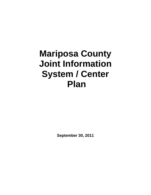# **Mariposa County Joint Information System / Center Plan**

**September 30, 2011**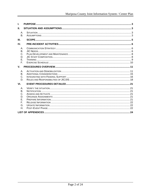| L                                            |  |  |  |
|----------------------------------------------|--|--|--|
| П.                                           |  |  |  |
| А.<br><b>B.</b>                              |  |  |  |
| III.                                         |  |  |  |
| IV.                                          |  |  |  |
| А.<br>В.<br>C.<br>D.<br>Ε.<br>F.             |  |  |  |
| $V_{\cdot}$                                  |  |  |  |
| Α.<br>В.<br>C.<br>D.                         |  |  |  |
| VI.                                          |  |  |  |
| А.<br>В.<br>C.<br>D.<br>Е.<br>F.<br>G.<br>Η. |  |  |  |
|                                              |  |  |  |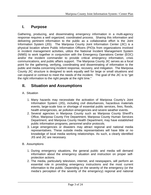## <span id="page-2-0"></span>**I. Purpose**

Gathering, producing, and disseminating emergency information in a multi-agency response requires a well organized, coordinated process. Sharing this information and delivering pertinent information to the public as a collaborative effort is the Joint Information System (JIS). The Mariposa County Joint Information Center (JIC) is a physical location where Public Information Officers (PIO)s from organizations involved in incident management activities, utilize the National Incident Management System (NIMS) to work together in conjunction with the Emergency Operations Center (EOC) and/or the incident commander to provide critical emergency information, crisis communications, and public affairs support. The Mariposa County JIC serves as a focal point for the gathering, verifying, coordinating and disseminating of information to the public and media concerning incident response, recovery, and mitigation. The Mariposa County JIC structure is designed to work equally well for large or small situations and can expand or contract to meet the needs of the incident. The goal of the JIC is to "get the right information to the right people at the right time."

## <span id="page-2-1"></span>**II. Situation and Assumptions**

## <span id="page-2-2"></span>A. Situation

- 1. Many hazards may necessitate the activation of Mariposa County's Joint Information System (JIS), including civil disturbances, hazardous materials events, large-scale loss or shortage of essential public services, fires, floods, health emergencies, air pollution emergencies and severe weather events.
- 2. Several agencies in Mariposa County such as Mariposa County Sheriff's Office, Mariposa County Fire Department, Mariposa County Human Services Department, and Mariposa County Health Department, may have established public information programs, personnel and/or protocols.
- 3. Large emergencies or disasters may attract regional and national media representatives. These outside media representatives will have little or no knowledge of local media working relationships. As such, a clearly identified JIS and JIC are necessary.
- <span id="page-2-3"></span>B. Assumptions
	- 1. During emergency situations, the general public and media will demand information about the emergency situation and instruction on proper selfprotection actions.
	- 2. The media, particularly television, internet, and newspapers, will perform an essential role in providing emergency instructions and the most current information to the public. Depending on the severity of the emergency (or the media's perception of the severity of the emergency) regional and national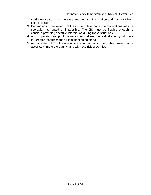media may also cover the story and demand information and comment from local officials.

- 3. Depending on the severity of the incident, telephone communications may be sporadic, interrupted or impossible. The JIS must be flexible enough to continue providing effective information during these situations.
- 4. A JIC operation will pool the assets so that each individual agency will have far greater resources than if it is functioning alone.
- 5. An activated JIC will disseminate information to the public faster, more accurately, more thoroughly, and with less risk of conflict.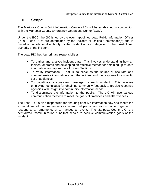## <span id="page-4-0"></span>**III. Scope**

The Mariposa County Joint Information Center (JIC) will be established in conjunction with the Mariposa County Emergency Operations Center (EOC).

Under the EOC, the JIC is led by the event appointed Lead Public Information Officer (PIO). Lead PIOs are determined by the Incident or Unified Commander(s) and is based on jurisdictional authority for the incident and/or delegation of the jurisdictional authority of the incident.

The Lead PIO has four primary responsibilities:

- To gather and analyze incident data. This involves understanding how an Incident operates and developing an effective method for obtaining up-to-date information from appropriate Incident Sections.
- To verify information. That is, to serve as the source of accurate and comprehensive information about the incident and the response to a specific set of audiences.
- To coordinate a consistent message for each incident. This involves employing techniques for obtaining community feedback to provide response agencies with insight into community information needs.
- To disseminate the information to the public. The JIC will use various communication methods to meet the goals of timeliness and effectiveness.

The Lead PIO is also responsible for ensuring effective information flow and meets the expectations of various audiences when multiple organizations come together to respond to an emergency or to manage an event. The Mariposa County JIC is a centralized "communication hub" that serves to achieve communication goals of the incident.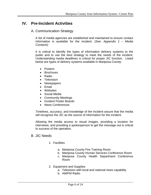## <span id="page-5-1"></span><span id="page-5-0"></span>**IV. Pre-Incident Activities**

## A. Communication Strategy

A list of media agencies are established and maintained to ensure contact information is available for the incident. (*See: Appendix 1 – Media Contacts*)

It is critical to identify the types of information delivery systems to the public and to use the best strategy to meet the needs of the incident. Understanding media deadlines is critical for proper JIC function. Listed below are types of delivery systems available in Mariposa County:

- Posters
- Brochures
- Radio
- Television
- Newspapers
- Email
- Websites
- Social Media
- Community Meetings
- Incident Poster Boards
- News Conferences

Timelines, accuracy, and knowledge of the incident assure that the media will recognize the JIC as the source of information for the incident.

Allowing the media access to visual images, providing a location for interviews, and providing a spokesperson to get the message out is critical to success of the operation.

### <span id="page-5-2"></span>B. JIC Needs

- 1. Facilities
	- a. Mariposa County Fire Training Room
	- b. Mariposa County Human Services Conference Room
	- c. Mariposa County Health Department Conference Room
- 2. Equipment and Supplies
	- a. Television with local and national news capability
	- b. AM/FM Radio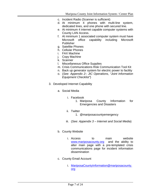- c. Incident Radio (Scanner is sufficient)
- d. At minimum 4 phones with multi-line system, dedicated lines, and one phone with secured line.
- e. At minimum 4 internet capable computer systems with County LAN Access.
- f. At minimum 1 associated computer system must have Microsoft office capability including Microsoft Publisher
- g. Satellite Phones
- h. Cellular Phones
- i. FAX Machine
- j. Copy Machine
- k. Scanner
- l. Miscellaneous Office Supplies
- m. Crisis Communications Risk Communication Tool Kit
- n. Back up generator system for electric power to facility
- o. (*See: Appendix 2– JIC Operations, "Joint Information Equipment Checklist"*)
- 3. Developed Internet Capability
	- a. Social Media
		- i. Facebook
			- 1. Mariposa County Information for Emergencies and Disasters
		- ii. Twitter
			- 1. @mariposacountyemergency
		- iii. (*See: Appendix 3 – Internet and Social Media*)
	- b. County Website
		- i. Access to main website [www.mariposacounty.org](http://www.mariposacounty.org/) and the ability to alter main page with a pre-templated crisis communications page for incident information dissemination
	- c. County Email Account
		- i. [MariposaCountyInformation@mariposacounty.](mailto:MariposaCountyInformation@mariposacounty.org) [org](mailto:MariposaCountyInformation@mariposacounty.org)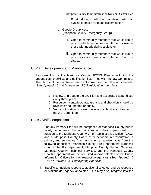Email Groups will be populated with all available emails for mass dissemination

- d. Google Group Host (Mariposa County Emergency Group)
	- i. Open to community members that would like to post available resources on internet for use by those with needs during a disaster
	- ii. Open to community members that would like to post resource needs on internet during a disaster

## <span id="page-7-0"></span>C. Plan Development and Maintenance

Responsibility for the Mariposa County JIC/JIS Plan – including the appendices, checklists and notification lists – lies with the JIC Committee. The plan shall be maintained and kept current on the following schedule: (*See: Appendix 6 – MOU between JIC Participating Agencies*)

- 1. Review and update the JIC Plan and associated appendices every three years.
- 2. Resource inventories/database lists and checklists should be reviewed and updated annually.
- 3. Verify notification lists each year and submit any changes to the JIC Committee.

## <span id="page-7-1"></span>D. JIC Staff Composition

- i. The JIC Primary Staff will be composed of Mariposa County public safety, emergency, human services and health personnel. In addition to the Mariposa County Chief Administrative Officer (CAO) and a Mariposa County Board of Supervisors representative, a primary and secondary (back up) agency representative from the following agencies: Mariposa County Fire Department, Mariposa County Sheriff's Department, Mariposa County Human Services, Mariposa County Technical Services, and the Mariposa County Health Department will be recruited and/or selected to be Public Information Officers for their respective agencies. (*See: Appendix 6 – MOU Between JIC Participating Agencies*)
- ii. Specific to incident response, additional affected and co-response or stakeholder agency appointed PIOs may also integrate into the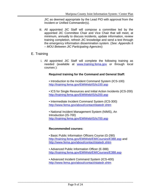JIC as deemed appropriate by the Lead PIO with approval from the Incident or Unified Commander(s).

iii. All appointed JIC Staff will compose a committee led by the appointed JIC Committee Chair and Vice Chair that will meet, at minimum, annually to discuss incidents, update information, review training completion, refresh JIC knowledge and send a test through the emergency information dissemination system. (*See: Appendix 6 – MOU Between JIC Participating Agencies*)

## <span id="page-8-0"></span>E. Training

i. All appointed JIC Staff will complete the following training as needed (available at [www.training.fema.gov](http://www.training.fema.gov/) or through local courses ):

### **Required training for the Command and General Staff:**

• Introduction to the Incident Command System (ICS-100) <http://training.fema.gov/EMIWeb/IS/is100.asp>

• ICS for Single Resources and Initial Action Incidents (ICS-200) <http://training.fema.gov/EMIWeb/IS/is200.asp>

• Intermediate Incident Command System (ICS-300) <http://www.fema.gov/about/contact/statedr.shtm>

• National Incident Management System (NIMS), An Introduction (IS-700) <http://training.fema.gov/EMIWeb/IS/is700.asp>

#### **Recommended courses:**

• Basic Public Information Officers Course (G-290) <http://training.fema.gov/EMIWeb/EMICourses/E388.asp> and <http://www.fema.gov/about/contact/statedr.shtm>

• Advanced Public Information Officer (E-388) <http://training.fema.gov/EMIWeb/EMICourses/E388.asp>

• Advanced Incident Command System (ICS-400) <http://www.fema.gov/about/contact/statedr.shtm>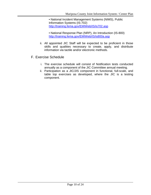• National Incident Management Systems (NIMS), Public Information Systems (IS-702) <http://training.fema.gov/EMIWeb/IS/is702.asp>

- National Response Plan (NRP), An Introduction (IS-800) <http://training.fema.gov/EMIWeb/IS/is800a.asp>
- ii. All appointed JIC Staff will be expected to be proficient in those skills and qualities necessary to create, apply, and distribute information via tactile and/or electronic methods.
- <span id="page-9-0"></span>F. Exercise Schedule
	- i. The exercise schedule will consist of Notification tests conducted annually as a component of the JIC Committee annual meeting.
	- ii. Participation as a JIC/JIS component in functional, full-scale, and table top exercises as developed, where the JIC is a testing component.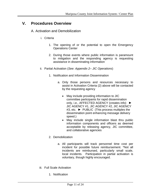## <span id="page-10-1"></span><span id="page-10-0"></span>**V. Procedures Overview**

- A. Activation and Demobilization
	- i. Criteria
		- 1. The opening of or the potential to open the Emergency Operations Center
		- 2. During those events where public information is paramount to mitigation and the responding agency is requesting assistance in disseminating information
	- ii. Partial Activation (*See: Appendix 2– JIC Operations*)
		- 1. Notification and Information Dissemination
			- a. Only those persons and resources necessary to assist in Activation Criteria (2) above will be contacted by the requesting agency
				- May include providing information to JIC committee participants for rapid dissemination only, i.e., AFFECTED AGENCY (creates info) ► JIC AGENCY #1, JIC AGENCY #2, JIC AGENCY #3, etc. ► PUBLIC (This process multiples the dissemination point enhancing message delivery speed.)
				- May include single information blast thru public information components and officers as deemed acceptable by releasing agency, JIC committee, and collaborative agencies
		- 2. Demobilization
			- a. All participants will track personnel time cost per incident for possible future reimbursement. \*Not all incidents are reimbursed, particularly small scale, local incidents. Participation in partial activation is voluntary, though highly encouraged.
	- iii. Full Scale Activation
		- 1. Notification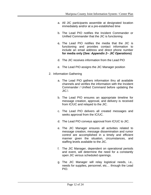- a. All JIC participants assemble at designated location immediately and/or at a pre-established time
- b. The Lead PIO notifies the Incident Commander or Unified Commander that the JIC is functioning
- **c.** The Lead PIO notifies the media that the JIC is functioning and provides contact information to include an email address and direct phone number **for media only (***See: Appendix 2– JIC Operations***)**
- d. The JIC receives information from the Lead PIO
- e. The Lead PIO assigns the JIC Manager position
- 2. Information Gathering
	- a. The Lead PIO gathers information thru all available channels and verifies the information with the Incident Commander / Unified Command before updating the JIC.\
	- b. The Lead PIO ensures an appropriate timeline for message creation, approval, and delivery is received from IC/UC and relayed to the JIC.
	- c. The Lead PIO delivers all created messages and seeks approval from the IC/UC.
	- d. The Lead PIO conveys approval from IC/UC to JIC.
	- e. The JIC Manager ensures all activities related to message creation, message dissemination and rumor control are accomplished in a timely and efficient manner given the situation, circumstances, and staffing levels available to the JIC.
	- f. The JIC Manager, dependent on operational periods and event, will determine the need for a constantly open JIC versus scheduled openings.
	- g. The JIC Manager will relay logistical needs, i.e., needs for supplies, personnel, etc… through the Lead PIO.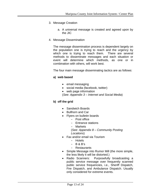- 3. Message Creation
	- a. A universal message is created and agreed upon by the JIC
- 4. Message Dissemination

The message dissemination process is dependent largely on the population one is trying to reach and the urgency by which one is trying to reach them. There are several methods to disseminate messages and each situation or event will determine which methods, as one or in combination with others, will work best.

The four main message disseminating tactics are as follows:

### **a) web based**

- email messaging
- social media (facebook, twitter)
- web page information

(*See: Appendix 3 – Internet and Social Media*)

### **b) off the grid**

- Sandwich Boards
- Bullhorn and Car
- Flyers on bulletin boards
	- Post office
	- Entrance stations
	- Markets
	- (*See: Appendix 8 – Community Posting Locations*)
- Fax and/or email via Tourism
	- Hotels
	- $-$  B & B's
	- Restaurants
- Simple Message into Rumor Mill (the more simple, the less likely it will be distorted.)
- Radio Scanners: Purposefully broadcasting a public service message over frequently scanned public service frequencies, i.e., Sheriff Dispatch, Fire Dispatch, and Ambulance Dispatch. Usually only considered for extreme events.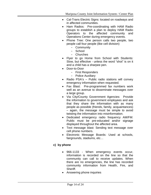- Cal-Trans Electric Signs: located on roadways and in affected communities.
- Ham Radios: Pre-coordinating with HAM Radio groups to establish a plan to deploy HAM Radio Operators to the affected community and Operations Center during emergency events.
- Phone Tree: One person calls two people, two people call four people (like cell division)
	- Community
		- School
	- Churches
- Flyer to go Home from School with Students: Slow, but effective - unless the word "shot" is on it and a child has a sharpee pen.
- Door-to-Door
	- First Responders
	- Police Auxiliary
- Radio PSA's Public radio stations will convey emergency information when requested.
- Fax Blast: Pre-programmed fax numbers work well as an avenue to disseminate messages over a large group.
- Via City/County Government Agencies: Provide the information to government employees and ask that they share the information with as many people as possible (friends, family, acquaintances) – again, the message must be simple to avoid twisting the information into misinformation.
- Dedicated emergency radio frequency AM/FM: Public must be pre-educated and/or signage displayed throughout the affected area.
- Text message blast: Sending text message over cell phone numbers.
- Electronic Message Boards: Used at schools, fairgrounds, stadiums, etc…

## **c) by phone**

- 966-1133 When emergency events occur, information is recorded on the line so that the community can call to receive updates. When there are no emergencies, the line has recorded community information from Health, Fire, and Sheriff.
- Answering phone inquiries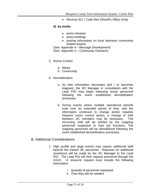• Reverse 911 / Code Red (Sheriff's Office Only)

### **d) by media**

- press releases
- press briefings
- posting information on local television community bulletin boards

(*See: Appendix 4 – Message Development*) (*See: Appendix 5 – Community Outreach*)

- 5. Rumor Control
	- a. Media
	- b. Community
- 6. Demobilization
	- a. As new information decreases and / or becomes stagnant, the JIC Manager in consultation with the Lead PIO may begin releasing active personnel following the event established demobilization processes.
	- b. During events where multiple operational periods exist over an extended period of time, and the information continues to change and/or requires frequent rumor control tactics, a change in shift between JIC members may be necessary. The oncoming shift will be briefed by the outgoing personnel respective to their job functions. The outgoing personnel will be demobilized following the event established demobilization processes.

## <span id="page-14-0"></span>B. Additional Considerations

- 1. High profile and large events may require additional staff beyond the trained JIC personnel. Requests for additional assistance will be made by the JIC Manager to the Lead PIO. The Lead PIO will then request personnel through the IC/UC. A resource request must include the following information:
	- i. Quantity of personnel requested
	- ii. Time they will be needed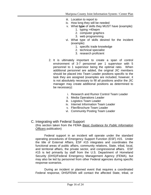- iii. Location to report to
- iv. How long they will be needed
- v. What **type** of skills they MUST have (example):
	- 1. typing >40wpm
	- 2. computer graphics
	- 3. web programming
- vi. What type of skills desired for the incident (example):
	- 1. specific trade knowledge
	- 2. technical specialist
	- 3. research proficient
- 2. It is ultimately important to create a span of control environment of 3-7 personnel per 1 supervisor with 5 personnel to 1 supervisor being the optimal ratio. When additional personnel are added, the original JIC members should be placed into Team Leader positions specific to the task they are assigned (examples are included, however, it is not absolutely necessary to fill all positions and/or the JIC manager may create additional positions as determined to be necessary):
	- i. Research and Rumor Control Team Leader
	- ii. Media Operations Leader
	- iii. Logistics Team Leader
	- iv. Internet Information Team Leader
	- v. Flier/Brochure Team Leader
	- vi. Community Posting Team Leader

#### <span id="page-15-0"></span>C. Integrating with Federal Support (this section taken from the FEMA *Basic Guidance for Public Information Officers* publication)

Federal support in an incident will operate under the standard operating procedures of Emergency Support Function (ESF) #15. Under the title of External Affairs, ESF #15 integrates and coordinates the functional areas of public affairs, community relations, State, tribal, local, and territorial affairs, the private sector, and congressional affairs. ESF #15 is led primarily by staff from the U.S. Department of Homeland Security (DHS)/Federal Emergency Management Agency (FEMA), but may also be led by personnel from other Federal agencies during specific response scenarios.

During an incident or planned event that requires a coordinated Federal response, DHS/FEMA will contact the affected State, tribal, or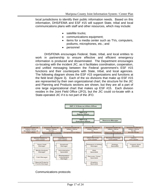local jurisdictions to identify their public information needs. Based on this information, DHS/FEMA and ESF #15 will support State, tribal and local communications plans with staff and other resources, which may include:

- satellite trucks:
- communications equipment;
- items for a media center such as TVs, computers, podiums, microphones, etc.; and
- personnel

DHS/FEMA encourages Federal, State, tribal, and local entities to work in partnership to ensure effective and efficient emergency information is produced and disseminated. The Department encourages co-locating with the incident JIC, as it facilitates coordination, cooperation, and unified messaging between the Federal government's ESF #15 functions and their counterparts with State, tribal, and local agencies. The following diagram shows the ESF #15 organizations and functions at the field level (figure 3). Each of the six divisions that make up ESF #15 are represented by their own organizational chart; the structure for the JIC and Planning and Products sections are shown, but they are all a part of one large organizational chart that makes up ESF #15. Each division resides in the Joint Field Office (JFO), but the JIC could co-locate with a State-operated JIC if it is not part of the JFO.



Communications protocols: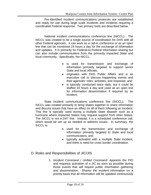Pre-identified incident communications protocols are established and ready for use during large scale incidents and incidents requiring a coordinated Federal response. Two primary tools are described below.

National incident communications conference line (NICCL): The NICCL was created to be a single source of coordination for DHS with all other Federal agencies. It can work as a call-in conference or as an open line that can be monitored 24 hours a day for the exchange of information and updates. It is primarily for Federal-to-Federal information sharing but can also include communicators from the primarily impacted State and local community. Specifically, the NICCL:

- is used for transmission and exchange of information primarily targeted to support senior State and local officials;
- originates with DHS Public Affairs and is an executive call to discuss happening events and their agencies' roles, activities, and response; and
- is typically conducted twice daily, but it could be staffed 24 hours a day and used as an open line for information dissemination if required by an incident.

State incident communications conference line (SICCL): The SICCL was created primarily to bring States together to share information and discuss issues that have an effect on all of them following an incident. This line is typically used during a multiple State disaster such as a hurricane where impacted States may request support from other States. The SICCL is not a 24/7 line. Instead, it is a scheduled conference call, which would be set up as needed to address issues. In summary, the SICCL is:

- used for the transmission and exchange of information primarily targeted to State and local communicators; and
- typically activated with a multiple State incident, and there is need for cross border coordination.
- <span id="page-17-0"></span>D. Roles and Responsibilities of JIC/JIS
	- 1. *Incident Command / Unified Command*: Appoints the PIO and requests activation of a JIC as soon as possible during those events that will require public information gathering and dissemination. Shares the incident information on a priority basis that all information will be updated continuously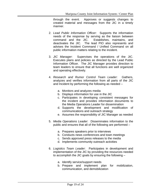through the event. Approves or suggests changes to created material and messages from the JIC in a timely manner.

- 2. *Lead Public Information Officer*: Supports the information needs of the response by serving as the liaison between command and the JIC. Establishes, maintains, and deactivates the JIC. The lead PIO also represents and advises the Incident Command / Unified Command on all public information matters relating to the incident.
- 3. *JIC Manager*: Supervises the operations of the JIC. Executes plans and policies as directed by the Lead Public Information Officer. The JIC Manager provides direction to team leaders to ensure that all functions are well organized and operating effectively.
- 4. *Research and Rumor Control Team Leader*: Gathers, analyzes and verifies information from all parts of the JIC and Incident by performing the following as needed –
	- a. Monitors and analyzes media
	- b. Displays information for use in the JIC
	- c. Participates in developing consistent messages for the incident and provides information documents to the Media Operations Leader for dissemination
	- d. Supports the development and modification of communications and outreach strategy
	- e. Assumes the responsibility of JIC Manager as needed
- 5. *Media Operations Leader*: Disseminates information to the public and ensures that all of the following are performed –
	- a. Prepares speakers prior to interviews
	- b. Conducts news conferences and town meetings
	- c. Sends approved press releases to the media
	- d. Implements community outreach activities
- 6. *Logistics Team Leader*: Participates in development and implementation of the JIC by providing the resources needed to accomplish the JIC goals by ensuring the following –
	- a. Identify service/support needs
	- b. Prepare and implement plan for mobilization, communication, and demobilization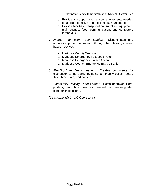- c. Provide all support and service requirements needed to facilitate effective and efficient JIC management
- d. Provide facilities, transportation, supplies, equipment, maintenance, food, communication, and computers for the JIC
- 7. *Internet Information Team Leader*: Disseminates and updates approved information through the following internet based devices –
	- a. Mariposa County Website
	- b. Mariposa Emergency Facebook Page
	- c. Mariposa Emergency Twitter Account
	- d. Mariposa County Emergency EMAIL Bank
- 8. *Flier/Brochure Team Leader*: Creates documents for distribution to the public including community bulletin board fliers, brochures, and posters.
- 9. *Community Posting Team Leader*: Posts approved fliers, posters, and brochures as needed in pre-designated community locations.

(*See: Appendix 2– JIC Operations*)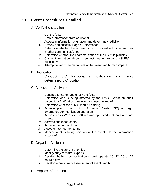## <span id="page-20-1"></span><span id="page-20-0"></span>**VI. Event Procedures Detailed**

- A. Verify the situation
	- i. Get the facts
	- ii. Obtain information from additional
	- iii. Ascertain information origination and determine credibility
	- iv. Review and critically judge all information
	- v. Determine whether the information is consistent with other sources in other communities/cities
	- vi. Determine whether the characterization of the event is plausible
	- vii. Clarify information through subject matter experts (SMEs) if necessary
	- viii. Attempt to verify the magnitude of the event and human impact
- <span id="page-20-2"></span>B. Notification
	- i. Conduct JIC Participant's notification and relay determined JIC location
- <span id="page-20-3"></span>C. Assess and Activate
	- i. Continue to gather and check the facts
	- ii. Determine who is being affected by the crisis. What are their perceptions? What do they want and need to know?
	- iii. Determine what the public should be doing.
	- iv. Activate plan to join Joint Information Center (JIC) or begin emergency communication operation
	- v. Activate crisis Web site, hotlines and approved materials and fact sheets.
	- vi. Activate spokesperson(s)
	- vii. Activate media monitoring
	- viii. Activate Internet monitoring
	- ix. Monitor what is being said about the event. Is the information accurate?

## <span id="page-20-4"></span>D. Organize Assignments

- i. Determine the current priorities
- ii. Identify subject matter experts
- iii. Decide whether communication should operate 10, 12, 20 or 24 hours a day
- iv. Develop a preliminary assessment of event length
- <span id="page-20-5"></span>E. Prepare Information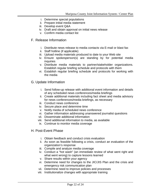- i. Determine special populations
- ii. Prepare initial media statement
- iii. Develop event Q&A
- iv. Draft and obtain approval on initial news release
- v. Confirm media contact list
- <span id="page-21-0"></span>F. Release Information
	- i. Distribute news release to media contacts via E-mail or blast fax
	- ii. Staff hotline (if applicable)
	- iii. Upload media materials produced to date to your Web site
	- iv. Ensure spokesperson(s) are standing by for potential media inquiries
	- v. Distribute media materials to partner/stakeholder organizations. Establish regular briefing schedule and protocols with them
	- vi. Establish regular briefing schedule and protocols for working with the media
- <span id="page-21-1"></span>G. Update Information
	- i. Send follow-up release with additional event information and details of any scheduled news conferences/media briefings
	- ii. Create additional materials including fact sheet and media advisory for news conferences/media briefings, as necessary
	- iii. Conduct news conference
	- iv. Secure place and determine time
	- v. Notify media of scheduled news conference
	- vi. Gather information addressing unanswered journalist questions
	- vii. Disseminate additional information
	- viii. Send additional information to media, as available
	- ix. Continue to monitor media coverage
- <span id="page-21-2"></span>H. Post-Event Phase
	- i. Obtain feedback and conduct crisis evaluation
	- ii. As soon as feasible following a crisis, conduct an evaluation of the organization's response
	- iii. Compile and analyze media coverage
	- iv. Conduct a "hot wash" (an immediate review of what went right and what went wrong) to capture lessons learned
	- v. Share results within your agency
	- vi. Determine need for changes to the JIC/JIS Plan and the crisis and emergency risk communication plan
	- vii. Determine need to improve policies and processes
	- viii. Institutionalize changes with appropriate training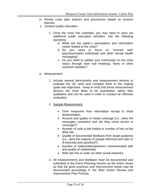- ix. Revise crisis plan policies and procedures based on lessons learned
- x. Conduct public education
	- 1. Once the crisis has subsided, you may need to carry out additional public education activities. Ask the following questions:
		- a. What are the public's perceptions and information needs related to the crisis?
		- b. Do you need to focus on "worried well" (psychosomatic) individuals and other mental health messaging?
		- c. Do you need to update your community on the crisis status through town hall meetings, flyers or other outreach activities?
- xi. Measurement
	- 1. Include several benchmarks and measurement devices to evaluate the JIC work and compare them to the original goals and objectives. Keep in mind that these measurement devices are more likely to be quantitative rather than qualitative and can be used in order to conduct an effective evaluation.
	- 2. Sample Measurement:
		- Time measured from information receipt to initial dissemination.
		- Amount and quality of media coverage (i.e., were the messages consistent and did they come across in coverage?)
		- Number of calls to the hotline or number of hits on the Web site.
		- Quality of documented feedback from target audience (i.e., were the majority of people informed and calm or ill-informed and panicked?).
		- Number of stakeholders/partners communicated with and quality of relationship.
		- Web site hits or visits via other social networks.
	- 3. All measurements and feedback must be documented and submitted to the Event Planning Section as the event closes so that the good practices and improvement needs may be documented accordingly in the After Action Review and Improvement Plan Process.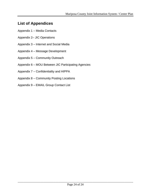## <span id="page-23-0"></span>**List of Appendices**

- Appendix 1 Media Contacts
- Appendix 2– JIC Operations
- Appendix 3 Internet and Social Media
- Appendix 4 Message Development
- Appendix 5 Community Outreach
- Appendix 6 MOU Between JIC Participating Agencies
- Appendix 7 Confidentiality and HIPPA
- Appendix 8 Community Posting Locations
- Appendix 9 EMAIL Group Contact List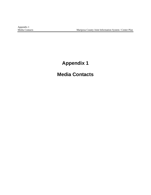# **Appendix 1**

# **Media Contacts**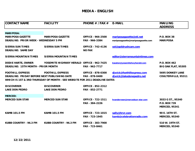## **MEDIA - ENGLISH**

| <b>CONTACT NAME</b>                                                            | <b>FACILITY</b>                                                                                       | PHONE # /FAX $#$ E-MAIL                    |                                                                | <b>MAILING</b><br><b>ADDRESS</b>                          |
|--------------------------------------------------------------------------------|-------------------------------------------------------------------------------------------------------|--------------------------------------------|----------------------------------------------------------------|-----------------------------------------------------------|
| <b>MARIPOSA:</b>                                                               |                                                                                                       |                                            |                                                                |                                                           |
| <b>MARIPOSA GAZETTE</b><br><b>DEADLINE: PRIOR WEEK - WEDNESDAY 5 PM</b>        | <b>MARIPOSA GAZETTE</b>                                                                               | <b>OFFICE - 966-2500</b><br>FAX - 966-3384 | mariposagazette@sti.net<br>mariposagazette@mariposagazette.com | <b>P.O. BOX 38</b><br><b>MARIPOSA</b>                     |
| <b>SIERRA SUN TIMES</b><br><b>DEADLINE: SAME DAY</b>                           | <b>SIERRA SUN TIMES</b>                                                                               | <b>OFFICE - 742-4136</b><br><b>NO FAX</b>  | sst@goldrushcam.com                                            |                                                           |
| <b>SIERRA MOUNTAIN TIMES</b>                                                   | <b>SIERRA MOUNTAIN TIMES</b>                                                                          |                                            | editor@sierramountaintimes.com                                 |                                                           |
| <b>DODIE HARTE, OWNER</b><br><b>DEADLINE: 15TH MONTH - PRIOR MONTH</b>         | YOSEMITE HIGHWAY HERALD OFFICE - 962-7425                                                             | FAX - 962-7717                             | kseaton@yosemitehwyherald.com                                  | P.O. BOX 462<br>BIG OAK FLAT, 95305                       |
| <b>FOOTHILL EXPRESS</b><br><b>DEADLINE: FRIDAY BEFORE NEXT PUBLISHING DATE</b> | <b>FOOTHILL EXPRESS</b><br>WHICH IS 1ST & 3RD THURSDAY OF MONTH - SEE WEBSITE FOR 2011 DEADLINE DATES | <b>OFFICE - 878-0300</b><br>FAX - 878-0400 | djwick@foothillexpress.com<br>diwick@lakedonepedro.net         | <b>5695 DONKEY LANE</b><br><b>COULTERVILLE, 95311</b>     |
| <b>DISCOVERER</b><br><b>LAKE DON PEDRO</b>                                     | <b>DISCOVERER</b><br><b>LAKE DON PEDRO</b>                                                            | <b>OFFICE - 852-2312</b><br>FAX - 852-2771 |                                                                |                                                           |
| <b>MERCED:</b><br><b>MERCED SUN STAR</b>                                       | <b>MERCED SUN STAR</b>                                                                                | <b>OFFICE - 722-1511</b><br>FAX - 384-2226 | hvanderveen@mercedsun-star.com                                 | 3033 G ST., 95340<br>P.O. BOX 739<br><b>MERCED, 95341</b> |
| <b>KAMB 101.5 FM</b>                                                           | <b>KAMB 101.5 FM</b>                                                                                  | <b>OFFICE - 723-1015</b><br>FAX - 723-1945 | sally@hrvr.com<br>kamb@celebrationradio.com                    | 90 E. 16TH ST.<br><b>MERCED, 95340</b>                    |
| <b>KUBB COUNTRY - 96.3 FM</b>                                                  | <b>KUBB COUNTRY - 96.3 FM</b>                                                                         | <b>OFFICE - 383-7900</b><br>FAX - 723-8461 |                                                                | 510 W. 19TH ST.<br><b>MERCED, 95340</b>                   |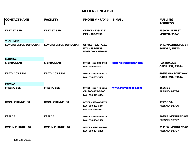## **MEDIA - ENGLISH**

| <b>CONTACT NAME</b>          | <b>FACILITY</b>              | PHONE # /FAX $#$ E-MAIL                      |                          | <b>MAILING</b>       |
|------------------------------|------------------------------|----------------------------------------------|--------------------------|----------------------|
|                              |                              |                                              |                          | <b>ADDRESS</b>       |
| <b>KABX 97.5 FM</b>          | <b>KABX 97.5 FM</b>          | <b>OFFICE - 723-2191</b>                     |                          | 1360 W. 18TH ST.     |
|                              |                              | FAX - 383-2950                               |                          | <b>MERCED, 95340</b> |
| <b>TUOLUMNE:</b>             |                              |                                              |                          |                      |
| <b>SONORA UNION DEMOCRAT</b> | <b>SONORA UNION DEMOCRAT</b> | <b>OFFICE - 532-7151</b>                     |                          | 84 S. WASHINGTON ST. |
|                              |                              | FAX - 532-5139<br><b>NEWSROOM - 532-6451</b> |                          | <b>SONORA, 95370</b> |
| <b>MADERA:</b>               |                              |                                              |                          |                      |
| <b>SIERRA STAR</b>           | <b>SIERRA STAR</b>           | OFFICE - 559-683-4464                        | editorial@sierrastar.com | P.O. BOX 305         |
|                              |                              | FAX - 559-683-8102                           |                          | OAKHURST, 93644      |
| <b>KAAT - 103.1 FM</b>       | <b>KAAT - 103.1 FM</b>       | OFFICE - 559-683-1031                        |                          | 40356 OAK PARK WAY   |
|                              |                              | FAX - 559-683-5488                           |                          | OAKHURST, 93644      |
| <b>FRESNO:</b>               |                              |                                              |                          |                      |
| <b>FRESNO BEE</b>            | <b>FRESNO BEE</b>            | OFFICE - 559-441-6111                        | www.thefresnobee.com     | 1626 E ST.           |
|                              |                              | OR 800-877-3400                              |                          | <b>FRESNO, 93786</b> |
|                              |                              | FAX - 559-441-6434                           |                          |                      |
| <b>KFSN - CHANNEL 30</b>     | <b>KFSN - CHANNEL 30</b>     | OFFICE - 559-442-1170                        |                          | 1777 G ST.           |
|                              |                              | FAX - 559-233-5844                           |                          | <b>FRESNO, 93706</b> |
|                              |                              | PR - 559-266-5024                            |                          |                      |
| <b>KSEE 24</b>               | <b>KSEE 24</b>               | OFFICE - 559-454-2424                        |                          | 5035 E. MCKINLEY AVE |
|                              |                              | FAX - 559-454-2496                           |                          | <b>FRESNO, 93727</b> |
| <b>KMPH - CHANNEL 26</b>     | <b>KMPH - CHANNEL 26</b>     | OFFICE - 559-252-5900                        |                          | 5111 W. MCKINLEY AVI |
|                              |                              | FAX - 559-454-2496                           |                          | <b>FRESNO, 93727</b> |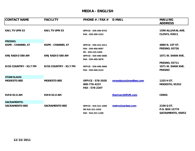## **MEDIA - ENGLISH**

| <b>CONTACT NAME</b>      | <b>FACILITY</b>          | PHONE # /FAX $#$         | <b>E-MAIL</b>        | <b>MAILING</b><br><b>ADDRESS</b> |
|--------------------------|--------------------------|--------------------------|----------------------|----------------------------------|
| <b>KAIL TV UPN 53</b>    | <b>KAIL TV UPN 53</b>    | OFFICE - 559-299-9753    |                      | 1590 ALLUVIAL AVE.               |
|                          |                          | FAX - 559-299-1523       |                      | <b>CLOVIS, 93611</b>             |
| <b>FRESNO:</b>           |                          |                          |                      |                                  |
| <b>KGPE - CHANNEL 47</b> | <b>KGPE - CHANNEL 47</b> | OFFICE - 559-222-2411    |                      | 4880 N. 1ST ST.                  |
|                          |                          | FAX - 559-490-0097       |                      | <b>FRESNO, 93726</b>             |
|                          |                          | PR - 559-225-5305        |                      |                                  |
| <b>KMJ RADIO 580 AM</b>  | KMJ RADIO 580 AM         | OFFICE - 559-490-5800    |                      | <b>1071 W. SHAW AVE.</b>         |
|                          |                          | FAX - 559-490-5878       |                      |                                  |
|                          |                          |                          |                      | <b>FRESNO, 93711</b>             |
| KISS COUNTRY - 93.7 FM   | KISS COUNTRY - 93.7 FM   | OFFICE - 559-490-5800    |                      | 1071 W. SHAW AVE.                |
|                          |                          | FAX - 559-490-4123       |                      | <b>FRESNO</b>                    |
| <b>STANISLAUS:</b>       |                          |                          |                      |                                  |
| <b>MODESTO BEE</b>       | <b>MODESTO BEE</b>       | <b>OFFICE - 578-2028</b> | mrandazzo@modbee.com | 1325 H ST.                       |
|                          |                          | 800-776-4237             |                      | <b>MODESTO, 95352</b>            |
|                          |                          | FAX - 578-2207           |                      |                                  |
| <b>KVIN 92.0 AM</b>      | <b>KVIN 92.0 AM</b>      |                          | theriver@KRVR.com    | <b>CERES</b>                     |
|                          |                          |                          |                      |                                  |
| <b>SACRAMENTO:</b>       |                          |                          |                      |                                  |
| <b>SACRAMENTO BEE</b>    | <b>SACRAMENTO BEE</b>    | OFFICE - 916-321-1000    | metro@sacbee.com     | 2100 Q ST.                       |
|                          |                          | OR 916-321-1020          |                      | P.O. BOX 15779                   |
|                          |                          | FAX - 916-321-1109       |                      | SACRAMENTO, 95852                |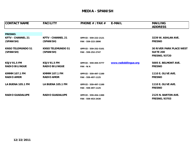## **MEDIA - SPANISH**

| <b>CONTACT NAME</b>      | <b>FACILITY</b>          | PHONE # /FAX #        | <b>E-MAIL</b>         | <b>MAILING</b>                  |
|--------------------------|--------------------------|-----------------------|-----------------------|---------------------------------|
|                          |                          |                       |                       | <b>ADDRESS</b>                  |
|                          |                          |                       |                       |                                 |
| <b>FRESNO:</b>           |                          |                       |                       |                                 |
| <b>KFTV - CHANNEL 21</b> | <b>KFTV - CHANNEL 21</b> | OFFICE - 559-222-2121 |                       | 3239 W. ASHLAN AVE.             |
| (SPANISH)                | (SPANISH)                | FAX - 559-222-2890    |                       | <b>FRESNO</b>                   |
| <b>KNSO TELEMUNDO 51</b> | <b>KNSO TELEMUNDO 51</b> | OFFICE - 559-252-5101 |                       | <b>30 RIVER PARK PLACE WEST</b> |
| (SPANISH)                | (SPANISH)                | FAX - 559-252-2747    |                       | <b>SUITE 200</b>                |
|                          |                          |                       |                       | <b>FRESNO, 93720</b>            |
| <b>KSJV 91.5 FM</b>      | <b>KSJV 91.5 FM</b>      | OFFICE - 559-455-5777 | www.radiobilingue.org | 5005 E. BELMONT AVE.            |
| <b>RADIO BILINGUE</b>    | <b>RADIO BILINGUE</b>    | FAX - N/A             |                       | <b>FRESNO</b>                   |
| <b>KMMM 107.1 FM</b>     | <b>KMMM 107.1 FM</b>     | OFFICE - 559-497-1100 |                       | <b>1110 E. OLIVE AVE.</b>       |
| <b>RADIO AMOR</b>        | <b>RADIO AMOR</b>        | FAX - 559-497-1125    |                       | <b>FRESNO</b>                   |
| LA BUENA 105.1 FM        | LA BUENA 105.1 FM        | OFFICE - 559-497-1100 |                       | <b>1110 E. OLIVE AVE.</b>       |
|                          |                          | FAX - 559-497-1125    |                       | <b>FRESNO</b>                   |
| <b>RADIO GUADALUPE</b>   | <b>RADIO GUADALUPE</b>   | OFFICE - 559-454-1300 |                       | 2125 N. BARTON AVE.             |
|                          |                          | FAX - 559-453-2430    |                       | <b>FRESNO, 93703</b>            |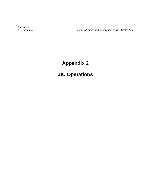# **Appendix 2**

# **JIC Operations**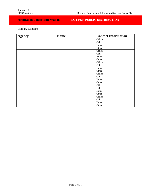## **Notification Contact Information NOT FOR PUBLIC DISTRIBUTION**

Primary Contacts

| <b>Agency</b> | <b>Name</b> | <b>Contact Information</b> |
|---------------|-------------|----------------------------|
|               |             | Office                     |
|               |             | Cell                       |
|               |             | Home                       |
|               |             | Other                      |
|               |             | Office                     |
|               |             | Cell                       |
|               |             | Home                       |
|               |             | Other                      |
|               |             | Office                     |
|               |             | Cell                       |
|               |             | Home                       |
|               |             | Other                      |
|               |             | Office                     |
|               |             | Cell                       |
|               |             | Home                       |
|               |             | Other                      |
|               |             | Office                     |
|               |             | Cell                       |
|               |             | Home                       |
|               |             | Other                      |
|               |             | Office                     |
|               |             | Cell                       |
|               |             | Home                       |
|               |             | Other                      |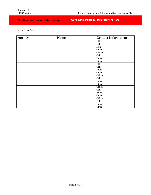## **Notification Contact Information NOT FOR PUBLIC DISTRIBUTION**

Alternate Contacts

| <b>Agency</b> | <b>Name</b> | <b>Contact Information</b> |
|---------------|-------------|----------------------------|
|               |             | Office                     |
|               |             | Cell                       |
|               |             | Home                       |
|               |             | Other                      |
|               |             | Office                     |
|               |             | Cell                       |
|               |             | Home                       |
|               |             | Other                      |
|               |             | Office                     |
|               |             | Cell                       |
|               |             | Home                       |
|               |             | Other                      |
|               |             | Office                     |
|               |             | Cell                       |
|               |             | Home                       |
|               |             | Other                      |
|               |             | Office                     |
|               |             | Cell                       |
|               |             | Home                       |
|               |             | Other                      |
|               |             | Office                     |
|               |             | Cell                       |
|               |             | Home                       |
|               |             | Other                      |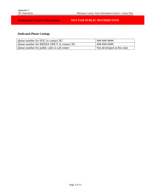## **Notification Contact Information NOT FOR PUBLIC DISTRIBUTION**

## **Dedicated Phone Listings**

| phone number for EOC to contact JIC          | ###-###-####               |
|----------------------------------------------|----------------------------|
| phone number for MEDIA ONLY to contact JIC   | ###-###-####               |
| phone number for public calls to call center | Not developed at this time |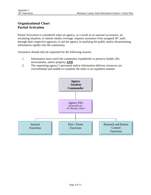## **Organizational Chart Partial Activation**

Partial Activation is considered when an agency, as a result of an unusual occurrence, an escalating situation, or intense media coverage, requests assistance from assigned JIC staff, through their respective agencies, to aid the agency in notifying the public and/or disseminating information rapidly into the community.

Assistance should only be requested for the following reasons:

- 1. Information must reach the community expediently to preserve health, life, environment, and/or property **AND**
- 2. The requesting agency's personnel and/or information delivery resources are overwhelmed and unable to complete the tasks in an expedient manner

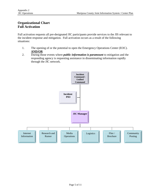## **Organizational Chart Full Activation**

Full activation requests all pre-designated JIC participants provide services to the JIS relevant to the incident response and mitigation. Full activation occurs as a result of the following situations:

- 1. The opening of or the potential to open the Emergency Operations Center (EOC). **AND/OR**
- 2. During those events where *public information is paramount* to mitigation and the responding agency is requesting assistance in disseminating information rapidly through the JIC network.

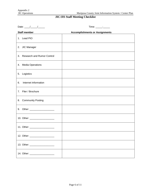Mariposa County Joint Information System / Center Plan

## **JIC/JIS Staff Meeting Checklist**

| Date: $\frac{1}{\sqrt{1-\frac{1}{2}}}\frac{1}{\sqrt{1-\frac{1}{2}}}\frac{1}{\sqrt{1-\frac{1}{2}}}\frac{1}{\sqrt{1-\frac{1}{2}}}\frac{1}{\sqrt{1-\frac{1}{2}}}\frac{1}{\sqrt{1-\frac{1}{2}}}\frac{1}{\sqrt{1-\frac{1}{2}}}\frac{1}{\sqrt{1-\frac{1}{2}}}\frac{1}{\sqrt{1-\frac{1}{2}}}\frac{1}{\sqrt{1-\frac{1}{2}}}\frac{1}{\sqrt{1-\frac{1}{2}}}\frac{1}{\sqrt{1-\frac{1}{2}}}\frac{1}{\sqrt{1-\frac{1}{2}}}\frac{1}{\$ | Time: _____: ______                   |
|--------------------------------------------------------------------------------------------------------------------------------------------------------------------------------------------------------------------------------------------------------------------------------------------------------------------------------------------------------------------------------------------------------------------------|---------------------------------------|
| <b>Staff member</b>                                                                                                                                                                                                                                                                                                                                                                                                      | <b>Accomplishments or Assignments</b> |
| 1. Lead PIO                                                                                                                                                                                                                                                                                                                                                                                                              |                                       |
| 2. JIC Manager                                                                                                                                                                                                                                                                                                                                                                                                           |                                       |
| <b>Research and Rumor Control</b><br>3.                                                                                                                                                                                                                                                                                                                                                                                  |                                       |
| 4. Media Operations                                                                                                                                                                                                                                                                                                                                                                                                      |                                       |
| 5. Logistics                                                                                                                                                                                                                                                                                                                                                                                                             |                                       |
| Internet Information<br>6.                                                                                                                                                                                                                                                                                                                                                                                               |                                       |
| 7. Flier / Brochure                                                                                                                                                                                                                                                                                                                                                                                                      |                                       |
| 8. Community Posting                                                                                                                                                                                                                                                                                                                                                                                                     |                                       |
| 9. Other: ___________________                                                                                                                                                                                                                                                                                                                                                                                            |                                       |
| 10. Other: _____________________                                                                                                                                                                                                                                                                                                                                                                                         |                                       |
| 11. Other: ____________________                                                                                                                                                                                                                                                                                                                                                                                          |                                       |
| 12. Other: ____________________                                                                                                                                                                                                                                                                                                                                                                                          |                                       |
|                                                                                                                                                                                                                                                                                                                                                                                                                          |                                       |
|                                                                                                                                                                                                                                                                                                                                                                                                                          |                                       |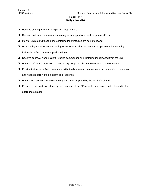#### **Lead PIO Daily Checklist**

- $\Box$  Receive briefing from off-going shift (if applicable);
- Develop and monitor information strategies in support of overall response efforts;
- Monitor JIC's activities to ensure information strategies are being followed;
- Maintain high level of understanding of current situation and response operations by attending incident / unified command post briefings;
- $\Box$  Receive approval from incident / unified commander on all information released from the JIC;
- Ensure staff in JIC work with the necessary people to obtain the most current information;
- Provide incident / unified commander with timely information about external perceptions, concerns and needs regarding the incident and response;
- $\Box$  Ensure the speakers for news briefings are well-prepared by the JIC beforehand;
- $\Box$  Ensure all the hard work done by the members of the JIC is well documented and delivered to the appropriate places;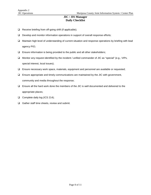#### **JIC / JIS Manager Daily Checklist**

- □ Receive briefing from off-going shift (if applicable);
- Develop and monitor information operations in support of overall response efforts;
- Maintain high level of understanding of current situation and response operations by briefing with lead agency PIO;
- $\square$  Ensure information is being provided to the public and all other stakeholders;
- □ Monitor any request identified by the incident / unified commander of JIC as "special" (e.g., VIPs, special interest, local issues);
- Ensure necessary work space, materials, equipment and personnel are available or requested;
- $\Box$  Ensure appropriate and timely communications are maintained by the JIC with government, community and media throughout the response;
- $\Box$  Ensure all the hard work done the members of the JIC is well documented and delivered to the appropriate places;
- Complete daily log (ICS 214);
- □ Gather staff time sheets, review and submit.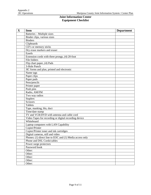#### **Joint Information Center Equipment Checklist**

| $\mathbf X$ | <b>Item</b>                                              | <b>Department</b> |
|-------------|----------------------------------------------------------|-------------------|
|             | Batteries - Multiple sizes                               |                   |
|             | Binder clips, various sizes                              |                   |
|             | <b>Binders</b>                                           |                   |
|             | Clipboards                                               |                   |
|             | CD's or memory sticks                                    |                   |
|             | Dry erase markers and eraser                             |                   |
|             | Easels                                                   |                   |
|             | Extension cords with three prongs, (4) 20-foot           |                   |
|             | File folders                                             |                   |
|             | Flip chart paper, (4) Pads                               |                   |
|             | 3-Hole Punch                                             |                   |
|             | JIC forms and plan, printed and electronic               |                   |
|             | Name tags                                                |                   |
|             | Paper clips                                              |                   |
|             | Paper pads                                               |                   |
|             | Pens/pencils                                             |                   |
|             | Printer paper                                            |                   |
|             | Push pins                                                |                   |
|             | Radio, AM/FM                                             |                   |
|             | Two way radios                                           |                   |
|             | <b>Staplers</b>                                          |                   |
|             | Scissors                                                 |                   |
|             | <b>Tablets</b>                                           |                   |
|             | Tape, masking, blu, duct                                 |                   |
|             | Time/date stamp                                          |                   |
|             | TV and VCR/DVD with antenna and cable cord               |                   |
|             | Video Tapes for recording or digital recording device    |                   |
|             | Whiteboard                                               |                   |
|             | Laptop computers with LAN Capability                     |                   |
|             | Copier/Printer                                           |                   |
|             | Copier/Printer toner and ink cartridges                  |                   |
|             | Digital cameras, still and video                         |                   |
|             | Phones: (1) direct line to EOC and (1) Media access only |                   |
|             | Phone and DSL Cords/cables                               |                   |
|             | Power surge protectors                                   |                   |
|             | Password book                                            |                   |
|             | Other:                                                   |                   |
|             | Other:                                                   |                   |
|             | Other:                                                   |                   |
|             | Other:                                                   |                   |
|             | Other:                                                   |                   |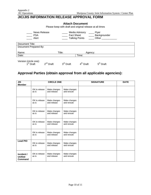## **JIC/JIS INFORMATION RELEASE APPROVAL FORM**

#### **Attach Document**

Please keep with draft and original release at all times

| News Release<br><b>PSA</b><br>Alert                              |             | Media Advisory<br><b>Fact Sheet</b><br><b>Talking Points</b> | Flyer<br>_ Backgrounder<br>Other |  |  |  |
|------------------------------------------------------------------|-------------|--------------------------------------------------------------|----------------------------------|--|--|--|
| Document Title:                                                  |             |                                                              |                                  |  |  |  |
| Document Prepared By:                                            |             |                                                              |                                  |  |  |  |
|                                                                  |             |                                                              |                                  |  |  |  |
| Name:                                                            | Title:      | Agency:                                                      |                                  |  |  |  |
| Date:                                                            |             | Time:                                                        |                                  |  |  |  |
| Version (circle one):<br>$2^{nd}$ Draft<br>1 <sup>st</sup> Draft | $3rd$ Draft | $4th$ Draft                                                  | 5 <sup>th</sup> Draft            |  |  |  |

## **Approval Parties (obtain approval from all applicable agencies):**

| <b>JIS</b><br><b>Member</b>                    | <b>CIRCLE ONE</b>      |                             | <b>SIGNATURE</b>            | <b>DATE</b> |  |
|------------------------------------------------|------------------------|-----------------------------|-----------------------------|-------------|--|
|                                                | OK to release<br>as is | Make changes<br>and release | Make changes<br>and reroute |             |  |
|                                                | OK to release<br>as is | Make changes<br>and release | Make changes<br>and reroute |             |  |
|                                                | OK to release<br>as is | Make changes<br>and release | Make changes<br>and reroute |             |  |
|                                                | OK to release<br>as is | Make changes<br>and release | Make changes<br>and reroute |             |  |
|                                                | OK to release<br>as is | Make changes<br>and release | Make changes<br>and reroute |             |  |
| <b>Lead PIO</b>                                | OK to release<br>as is | Make changes<br>and release | Make changes<br>and reroute |             |  |
| Incident /<br><b>Unified</b><br><b>Command</b> | OK to release<br>as is | Make changes<br>and release | Make changes<br>and reroute |             |  |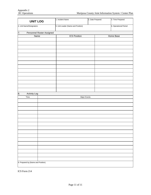| <b>UNIT LOG</b>                    |                           | 1. Incident Name<br>2. Date Prepared |              | 3. Time Prepared      |
|------------------------------------|---------------------------|--------------------------------------|--------------|-----------------------|
| 4. Unit Name/Designators           |                           | 5. Unit Leader (Name and Position)   |              | 6. Operational Period |
| 7.                                 | Personnel Roster Assigned |                                      |              |                       |
| Name                               |                           | <b>ICS Position</b>                  |              | Home Base             |
|                                    |                           |                                      |              |                       |
|                                    |                           |                                      |              |                       |
|                                    |                           |                                      |              |                       |
|                                    |                           |                                      |              |                       |
|                                    |                           |                                      |              |                       |
|                                    |                           |                                      |              |                       |
|                                    |                           |                                      |              |                       |
|                                    |                           |                                      |              |                       |
|                                    |                           |                                      |              |                       |
|                                    |                           |                                      |              |                       |
|                                    |                           |                                      |              |                       |
|                                    |                           |                                      |              |                       |
|                                    |                           |                                      |              |                       |
|                                    |                           |                                      |              |                       |
| 8.<br>Activity Log                 |                           |                                      |              |                       |
| Time                               |                           |                                      | Major Events |                       |
|                                    |                           |                                      |              |                       |
|                                    |                           |                                      |              |                       |
|                                    |                           |                                      |              |                       |
|                                    |                           |                                      |              |                       |
|                                    |                           |                                      |              |                       |
|                                    |                           |                                      |              |                       |
|                                    |                           |                                      |              |                       |
|                                    |                           |                                      |              |                       |
|                                    |                           |                                      |              |                       |
|                                    |                           |                                      |              |                       |
|                                    |                           |                                      |              |                       |
|                                    |                           |                                      |              |                       |
|                                    |                           |                                      |              |                       |
|                                    |                           |                                      |              |                       |
|                                    |                           |                                      |              |                       |
|                                    |                           |                                      |              |                       |
| 9. Prepared by (Name and Position) |                           |                                      |              |                       |

ICS Form 214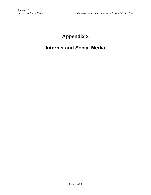# **Appendix 3**

## **Internet and Social Media**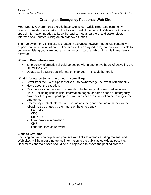## **Creating an Emergency Response Web Site**

Most County Governments already have Web sites. Crisis sites, also commonly referred to as dark sites, take on the look and feel of the current Web site, but include special information needed to keep the public, media, partners, and stakeholders informed and updated during an emergency situation.

The framework for a crisis site is created in advance; however, the actual content will depend on the situation at hand. The site itself is designed to lay dormant (not visible to someone visiting your site) until an emergency occurs, at which time it is immediately activated.

#### **When to Post Information**

- Emergency information should be posted within one to two hours of activating the JIC for the event.
- Update as frequently as information changes. This could be hourly.

#### **What Information to Include on your Home Page**

- Letter from the Event Spokesperson to acknowledge the event with empathy.
- News about the situation.
- Resources informational documents, whether original or reached via a link.
- Links including links to lists, information pages, or home pages of emergency providers if they are updating their websites or have information pertaining to the emergency.
- Emergency contact information including emergency hotline numbers for the following, as dictated by the nature of the emergency:
	- Cal-EMA
	- CDC
	- Red Cross
	- Immunization information
	- CHP
	- Other hotlines as relevant

#### **Linkage Strategy**

Focusing primarily on populating your site with links to already existing material and Web sites, will help get emergency information to the public as quickly as possible. Documents and Web sites should be pre-approved to speed the posting process.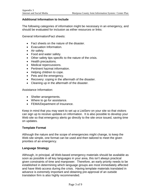#### **Additional Information to Include**

The following categories of information might be necessary in an emergency, and should be evaluated for inclusion as either resources or links:

General Information/Fact sheets:

- Fact sheets on the nature of the disaster.
- Evacuation Information.
- Air safety.
- Food and water safety.
- Other safety tips specific to the nature of the crisis.
- Health precautions.
- Medical repercussions.
- Pertinent hazmat information.
- Helping children to cope.
- Pets and the emergency.
- Recovery: coping in the aftermath of the disaster.
- Cleaning up in the aftermath of the disaster.

Assistance Information:

- Shelter arrangements.
- Where to go for assistance.
- FEMA/Department of Insurance.

Keep in mind that you may want to set up a ListServ on your site so that visitors can sign up to receive updates on information. It is also possible to develop your Web site so that emergency alerts go directly to the site once issued, saving time on updates.

#### **Template Format**

Although the nature and the scope of emergencies might change, to keep the Web site simple, one format can be used and then tailored to meet the given priorities of an emergency.

#### **Language Strategy**

Although, in principal, all Web-based emergency materials should be available as soon as possible in all key languages in your area, this isn't always practical given constraints of time and manpower. Therefore, an early priority needs to be established in determining which language groups are most immediately affected and have Web access during the crisis. Having template materials translated in advance is extremely important and obtaining pre-approval of an outside translation firm is also highly recommended.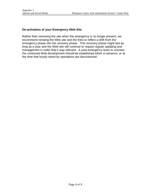#### **De-activation of your Emergency Web Site**

Rather than removing the site when the emergency is no longer present, we recommend revising the Web site and the links to reflect a shift from the emergency phase into the recovery phase. This recovery phase might last as long as a year and the Web site will continue to require regular updating and management in order that it stay relevant. A post-emergency team to oversee the continued Web development should be established either in advance, or at the time that hourly stand-by operations are discontinued.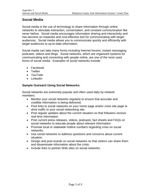## **Social Media**

Social media is the use of technology to share information through online networks to stimulate interaction, conversation, and constant communication like never before. Social media encourages information sharing and interactivity and has become an impactful and cost-effective tool for communicating with target audiences. Social media allows you to communicate quickly and efficiently with target audiences to up-to-date information.

Social media can take many forms including Internet forums, instant messaging, podcasts, videos and blogs. Social networks, which are organized systems for communicating and connecting with people online, are one of the most used forms of social media. Examples of social networks include:

- Facebook
- Twitter
- YouTube
- LinkedIn

#### **Sample Outreach Using Social Networks:**

Social networks are extremely popular and often used daily by network members.

- Monitor your social networks regularly to ensure that accurate and credible information is being delivered.
- Post links to social networks on your home page and/or crisis site page to drive traffic to your social networking site.
- Post regular updates about the current situation so that followers receive real-time information.
- Post current press releases, videos, podcasts, fact sheets and FAQs on social networks to educate people about relevant information.
- Promote local or statewide hotline numbers regarding crisis on social networks.
- Use social networks to address questions and concerns about current situation.
- Design and post ecards on social networks so that visitors can share them and disseminate information about the crisis.
- Include links to partner Web sites on social networks.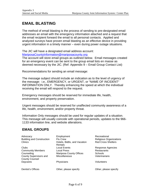## **EMAIL BLASTING**

The method of email blasting is the process of sending to pre-designated email addresses an email with the emergency information attached and a request that the email recipient forward the email to all personal contacts. Applied and analyzed surveys have proven email blasting as an effective device in providing urgent information in a timely manner – even during power outage situations.

The JIC will have a designated email address account: [MariposaCountyInformation@mariposacounty.org](mailto:MariposaCountyInformation@mariposacounty.org)

The account will store email groups as outlined below. Email messages created for an emergency event can be sent to the group email lists en masse as deemed necessary by the JIC. (Ref: Appendix 9 – Email Group Contact List)

Recommendations for sending an email message:

The message subject should include an indication as to the level of urgency of the message: i.e., EMERGENCY, or URGENT, or "NAME OF INCIDENT" INFORMATION ONLY. Thereby enhancing the speed at which the individual receiving the email will respond to the request.

Emergency messages should be reserved for immediate life, health, environment, and property preservation.

Urgent messages should be reserved for unaffected community awareness of a life, health, environment, and/or property threat.

Information Only messages should be used for regular updates of a situation. This message will usually coincide with operational periods, updates to the 966- 1133 information line, and website alterations.

## **EMAIL GROUPS**

Advocacy **Employment** Employment Recreational Building and Construction Flu Crew Fig. 2016 Religious Organizations Clinics **Hotels, B&Bs, and Vacation** Rentals<br>Local Events Red Cross Shelters Clubs Local Events Response Agencies Community Members **Local Press Restaurants** Counseling Mariposa County Offices Schools<br>County Supervisors and Miscellaneous Museum Veterinarians County Supervisors and County Counsel Miscellaneous Daycares **Physicians** Physicians Volunteers Dentist's Offices **Other, please specify** Other, please specify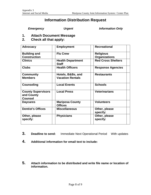## **Information Distribution Request**

*Emergency Urgent Information Only*

- **1. Attach Document Message**
- **2. Check all that apply:**

| Advocacy                           | <b>Employment</b>                            | <b>Recreational</b>       |  |
|------------------------------------|----------------------------------------------|---------------------------|--|
| <b>Building and</b>                | <b>Flu Crew</b>                              | <b>Religious</b>          |  |
| <b>Construction</b>                |                                              | <b>Organizations</b>      |  |
| <b>Clinics</b>                     | <b>Health Department</b><br>Staff            | <b>Red Cross Shelters</b> |  |
| <b>Clubs</b>                       | <b>Health Officers</b>                       | <b>Response Agencies</b>  |  |
| <b>Community</b><br><b>Members</b> | Hotels, B&Bs, and<br><b>Vacation Rentals</b> | <b>Restaurants</b>        |  |
|                                    |                                              |                           |  |
| <b>Counseling</b>                  | <b>Local Events</b>                          | <b>Schools</b>            |  |
| <b>County Supervisors</b>          | <b>Local Press</b>                           | <b>Veterinarians</b>      |  |
| and County<br><b>Counsel</b>       |                                              |                           |  |
| <b>Daycares</b>                    | <b>Mariposa County</b><br><b>Offices</b>     | <b>Volunteers</b>         |  |
| <b>Dentist's Offices</b>           | <b>Miscellaneous</b>                         | Other, please<br>specify: |  |
| Other, please<br>specify:          | <b>Physicians</b>                            | Other, please<br>specify: |  |

- **3. Deadline to send:** Immediate Next Operational Period With updates
- **4. Additional information for email text to include:**
- **5. Attach information to be distributed and write file name or location of information.**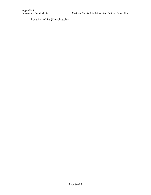Location of file (if applicable):\_\_\_\_\_\_\_\_\_\_\_\_\_\_\_\_\_\_\_\_\_\_\_\_\_\_\_\_\_\_\_\_\_\_\_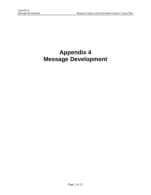# **Appendix 4 Message Development**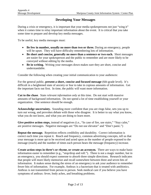## **Developing Your Messages**

During a crisis or emergency, it is important that your media spokespersons not just "wing it" when it comes time to relay important information about the event. It is critical that you take some time to prepare and develop key media messages.

To be useful, key media messages must:

- **Be few in number, usually no more than two or three.** During an emergency, people will be upset. They will have difficulty remembering lots of information.
- **Be short and concise, generally no more than a sentence or two each.** Short messages are easier for your spokesperson and the public to remember and are more likely to be conveyed without editing by the media.
- **Be in writing.** Writing your messages down makes sure they are short, concise and understandable.

Consider the following when creating your initial communication to your audiences:

For the general public, **present a short, concise and focused message** (6th-grade level). It's difficult in a heightened state of anxiety or fear to take in copious amounts of information. Get the important facts out first. In time, the public will want more information.

**Cut to the chase**. State *relevant information only* at this time. Do not start with massive amounts of background information. Do not spend a lot of time establishing yourself or your organization. One sentence should be enough.

**Acknowledge uncertainty.** Sounding more confident than you are rings false, sets you up to turn out wrong, and provokes debate with those who disagree. It is better to say what you know, what you do not know, and what you are doing to learn more.

Give positive action steps, instead of negatives (i.e., "In case of fire, use stairs," "Stay calm," are positive messages. Negative messages are "Do not use elevator" and "Don't panic.")

**Repeat the message.** Repetition reflects credibility and durability. Correct information is correct each time you repeat it. Reach and frequency, common advertising concepts, tell us that your message is more apt to be received and acted upon as the number of people exposed to the message (reach) and the number of times each person hears the message (frequency) increase.

**Create action steps in three's or rhyme, or create an acronym.** There are ways to make basic information easier to remember (e.g., "stop/drop and roll."). Three is not a magic number, but in an emergency, you should expect someone to absorb three simple directions. Research indicates that people will more likely memorize and recall somewhere between three and seven bits of information. It makes sense during the stress of an emergency to ask your audience to remember fewer bits of information. For example, Anthrax is a bacterium that is treated with antibiotics. Anthrax is not transmitted from person to person. Seek medical care if you believe you have symptoms of anthrax: fever, body aches, and breathing problems.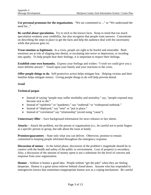**Use personal pronouns for the organization.** "We are committed to ..." or "We understand the need for..."

**Be careful about speculation.** Try to stick to the known facts. Keep in mind that too much speculation weakens your credibility, but also recognize that people want answers. Concentrate on describing the steps in place to get the facts and help the audience deal with the uncertainty while that process goes on.

**Treat emotion as legitimate.** In a crisis, people are right to be fearful and miserable. Both emotions are at risk of slipping into denial, or escalating into terror or depression, or receding into apathy. To help people bear their feelings, it is important to respect their feelings.

**Establish your own humanity.** Express your feelings and wishes: "I wish we could give you a more definite answer." Touch upon your family and your reactions to the crisis.

**Offer people things to do.** Self-protective action helps mitigate fear. Helping victims and their families helps mitigate misery. Giving people things to do will help prevent denial.

#### *Avoid*

#### **Technical jargon**

- Instead of saying "people may suffer morbidity and mortality," say, "people exposed may become sick or die."
- Instead of "epidemic" or "pandemic," say "outbreak" or "widespread outbreak."
- Instead of "deployed," say "sent" or "put in place."
- Instead of "correlation" say "relationship" (avoid using "cause").

**Unnecessary filler** – Save background information for news releases or fact sheets.

**Attacks** *–* Attack the problem, not the person or organization (i.e., be careful not to point fingers at a specific person or group, but talk about the issue at hand).

**Promises/guarantees** – State only what you can deliver. Otherwise, promise to remain committed to keeping people informed throughout the emergency response.

**Discussion of money** – In the initial phase, discussion of the problem's magnitude should be in context with the health and safety of the public or environment. Loss of property is secondary. Also, a discussion of the amount of money spent is not a substitute for the level of concern and response from your organization.

**Humor** – Seldom is humor a good idea. People seldom "get the joke" when they are feeling desperate. Humor is a great stress-reliever behind closed doors. Anyone who has responded to emergencies knows that sometimes-inappropriate humor acts as a coping mechanism. Be careful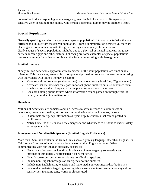not to offend others responding to an emergency, even behind closed doors. Be especially sensitive when speaking to the public. One person's attempt at humor may be another's insult.

## **Special Populations**

Generally speaking we refer to a group as a "special population" if it has characteristics that are different and unique from the general population. From a communication perspective, there are challenges in communicating with this group during an emergency. Limitations or disadvantages of special populations might be due to a physical or mental handicap, language barriers, income gaps and other factors. Following are some examples of special populations that are commonly found in California and tips for communicating with these groups.

#### **Limited Literacy**

Ninety million Americans, approximately 45 percent of the adult population, are functionally illiterate. This means they are unable to comprehend printed information. When communicating with individuals with limited literacy, be sure to:

- Make sure all information (oral or written) is at a low literacy level (i.e.,  $6<sup>th</sup>$  grade level.).
- Advocate that TV news not only post important phone numbers but also announce them slowly and repeat them frequently for people who cannot read the screen.
- Consider holding public forums where information can be passed on through word-ofmouth, rather than in a written form.

#### **Homeless**

Millions of Americans are homeless and lack access to basic methods of communication – televisions, newspapers, radios, etc. When communicating with the homeless, be sure to:

- Disseminate emergency information as flyers or public notices that can be posted in public areas.
- Notify homeless shelters about the emergency and what needs to be done to ensure safety to the general public.

#### **Immigrants and Non-English Speakers (Limited English Proficiency)**

More than 35 million adults in the United States speak a primary language other than English. In California, 40 percent of adults speak a language other than English at home. When communicating with non-English speakers, be sure to:

- Have translation services identified in advance of an emergency so materials and information can quickly be translated if an event occurs.
- Identify spokespersons who can address non-English speakers.
- Include non-English messages on emergency hotline numbers.
- Include non-English print, television and radio media on your media distribution lists.
- Be sure that materials targeting non-English speakers take into consideration any cultural sensitivities, including tone, words or phrases used.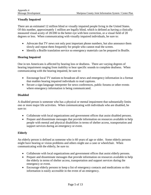#### **Visually Impaired**

There are an estimated 12 million blind or visually impaired people living in the United States. Of this number, approximately 1 million are legally blind, which is defined as having a clinically measured visual acuity of 20/200 in the better eye with best correction, or a visual field of 20 degrees or less. When communicating with visually impaired individuals, be sure to:

- Advocate that TV news not only post important phone numbers, but also announce them slowly and repeat them frequently for people who cannot read the screen.
- Identify a Braille translation service so emergency materials can be prepared in Braille.

#### **Hearing Impaired**

One in ten Americans is affected by hearing loss or deafness. There are varying degrees of hearing impairment ranging from inability to hear specific sounds to complete deafness. When communicating with the hearing impaired, be sure to:

- Encourage local TV stations to broadcast all news and emergency information in a format that enables hearing impaired individuals to read captions.
- Secure a sign-language interpreter for news conferences, public forums or other events where emergency information is being communicated.

#### **Disabled**

A disabled person is someone who has a physical or mental impairment that substantially limits one or more major life activities. When communicating with individuals who are disabled, be sure to:

- Collaborate with local organizations and government offices that assist disabled persons.
- Prepare and disseminate messages that provide information on resources available to help people with mental and physical disabilities in terms of shelter access, transportation and support services during an emergency or event.

#### **Elderly**

An elderly person is defined as someone who is 60 years of age or older. Some elderly persons might have hearing or vision problems and others might use a cane or wheelchair. When communicating with the elderly, be sure to:

- Collaborate with local organizations and government offices that assist elderly persons.
- Prepare and disseminate messages that provide information on resources available to help the elderly in terms of shelter access, transportation and support services during the emergency or event.
- Encourage elderly persons to keep a list of emergency contacts and medications so this information is easily accessible in the event of an emergency.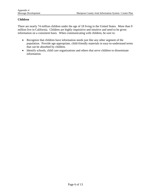#### **Children**

There are nearly 74 million children under the age of 18 living in the United States. More than 9 million live in California. Children are highly inquisitive and intuitive and need to be given information on a consistent basis. When communicating with children, be sure to:

- Recognize that children have information needs just like any other segment of the population. Provide age-appropriate, child-friendly materials in easy-to-understand terms that can be absorbed by children.
- Identify schools, child care organizations and others that serve children to disseminate information.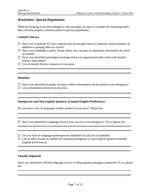### **Worksheet: Special Populations**

When developing crisis and emergency risk messages, be sure to consider the following items that will help prepare communication to special populations:

#### **Limited Literacy**

- $\Box$  Have you contacted TV news stations and encouraged them to announce phone numbers in addition to posting them on screen?
- $\Box$  Have you scheduled a public forum where you can pass on important information by wordof-mouth?
- $\Box$  Have you identified and begun working with local organizations that work with limited literacy individuals?
- $\Box$  List of limited literacy resources in my area:

#### **Homeless**

- $\Box$  Have you identified strategic locations where information can be posted in an emergency?
- $\Box$  List of homeless resources in my area:

#### **Immigrants and Non-English Speakers (Limited English Proficiency)**

Do you have a list of languages widely spoken in your area? Please list:

 $\Box$  Have you identified a language service you can use in an emergency? If so, please list:

,我们也不会有一个人的人,我们也不会有一个人的人,我们也不会有一个人的人。""我们,我们也不会有一个人的人,我们也不会有一个人的人,我们也不会有一个人的人。""我

 $\square$  Do you have in-language spokespersons identified in your list of potential

 $\Box$  List of other resources needed for reaching immigrants or non-English speakers (limited English proficiency):

#### **Visually Impaired**

Have you identified a Braille language service to help prepare emergency materials? If so, please list: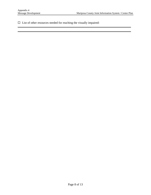$\Box~$  List of other resources needed for reaching the visually impaired: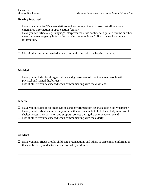#### **Hearing Impaired**

- $\Box$  Have you contacted TV news stations and encouraged them to broadcast all news and emergency information in open caption format?
- $\Box$  Have you identified a sign-language interpreter for news conferences, public forums or other events where emergency information is being communicated? If so, please list contact information.

 $\Box$  List of other resources needed when communicating with the hearing impaired:

#### **Disabled**

- $\Box$  Have you included local organizations and government offices that assist people with physical and mental disabilities?
- $\square$  List of other resources needed when communicating with the disabled:

#### **Elderly**

- $\Box$  Have you included local organizations and government offices that assist elderly persons?
- $\Box$  Have you identified resources in your area that are available to help the elderly in terms of shelter access, transportation and support services during the emergency or event?
- $\Box$  List of other resources needed when communicating with the elderly:

#### **Children**

 $\Box$  Have you identified schools, child care organizations and others to disseminate information that can be easily understood and absorbed by children?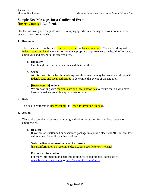## **Sample Key Messages for a Confirmed Event [Insert County], California**

Use the following as a template when developing specific key messages in your county in the event of a confirmed crisis.

#### **1. Response**

There has been a confirmed *[insert crisis event]* in *[insert location]*. We are working with federal, state and local agencies to take the appropriate steps to ensure the health of residents, employees and others in the affected area.

#### a. **Empathy**

Our thoughts are with the victims and their families.

#### b. **Scope**

At this time it is unclear how widespread this situation may be. We are working with federal, state and local authorities to determine the extent of the situation.

#### c. **[Insert county] actions**

We are working with **federal, state and local authorities** to ensure that all who have been affected are receiving appropriate services.

#### **2. Risk**

The risk to residents in [insert county] is [insert information on risk].

#### **3. Action**

The public can play a key role in helping authorities to be alert for additional events or emergencies.

#### a. **Be alert**

If you see an unattended or suspicious package in a public place, call 911 or local law enforcement for additional instructions.

b. **Seek medical treatment in case of exposure** [insert information on recommended actions specific to crisis event].

#### c. **For more information**

For more information on chemical, biological or radiological agents go to [www.bepreparedca.ca.gov](http://www.bepreparedca.ca.gov/) or [http://www.bt.cdc.gov/agent.](http://www.bt.cdc.gov/agent)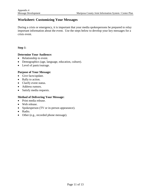### **Worksheet: Customizing Your Messages**

During a crisis or emergency, it is important that your media spokespersons be prepared to relay important information about the event. Use the steps below to develop your key messages for a crisis event.

#### **Step 1**:

#### **Determine Your Audience:**

- Relationship to event.
- Demographics (age, language, education, culture).
- Level of panic/outrage.

#### **Purpose of Your Message:**

- Give facts/update.
- Rally to action.
- Clarify event status.
- Address rumors.
- Satisfy media requests.

#### **Method of Delivering Your Message:**

- Print media release.
- Web release.
- Spokesperson (TV or in-person appearance).
- Radio.
- Other (e.g., recorded phone message).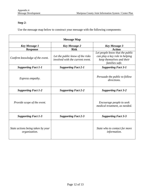### **Step 2**:

Use the message map below to construct your message with the following components:

| <b>Message Map</b>                                 |                                                                                     |                                                                                                                                   |  |  |
|----------------------------------------------------|-------------------------------------------------------------------------------------|-----------------------------------------------------------------------------------------------------------------------------------|--|--|
| <b>Key Message 1</b>                               | <b>Key Message 2</b>                                                                | <b>Key Message 3</b>                                                                                                              |  |  |
| <b>Response</b><br>Confirm knowledge of the event. | <b>Risk</b><br>Let the public know of the risks<br>involved with the current event. | <b>Action</b><br>Let people know that the public<br>can play a key role in helping<br>keep themselves and their<br>families safe. |  |  |
| <b>Supporting Fact 1-1</b>                         | <b>Supporting Fact 2-1</b>                                                          | <b>Supporting Fact 3-1</b>                                                                                                        |  |  |
| Express empathy.                                   |                                                                                     | Persuade the public to follow<br>directions.                                                                                      |  |  |
| <b>Supporting Fact 1-2</b>                         | <b>Supporting Fact 2-2</b>                                                          | <b>Supporting Fact 3-2</b>                                                                                                        |  |  |
| Provide scope of the event.                        |                                                                                     | Encourage people to seek<br>medical treatment, as needed.                                                                         |  |  |
| <b>Supporting Fact 1-3</b>                         | <b>Supporting Fact 2-3</b>                                                          | <b>Supporting Fact 3-3</b>                                                                                                        |  |  |
| State actions being taken by your<br>organization. |                                                                                     | State who to contact for more<br>information.                                                                                     |  |  |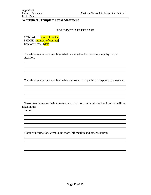#### **Worksheet: Template Press Statement**

#### FOR IMMEDIATE RELEASE

CONTACT: [name of contact] PHONE: [number of contact] Date of release: [date]

Two-three sentences describing what happened and expressing empathy on the situation.

Two-three sentences describing what is currently happening in response to the event.

and the control of the control of the control of the control of the control of the control of the control of the

 Two-three sentences listing protective actions for community and actions that will be taken in the

future.

Contact information, ways to get more information and other resources.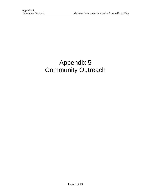# Appendix 5 Community Outreach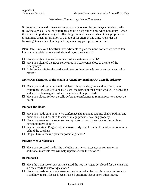#### Worksheet: Conducting a News Conference

If properly conducted, a news conference can be one of the best ways to update media following a crisis. A news conference should be scheduled only when necessary – when the news is important enough to affect large populations, and when it is appropriate to disseminate urgent information to a group of reporters at one time. Consider the following items when planning and implementing your press conference.

**Plan Date, Time and Location (**It is advisable to plan the news conference two to four hours after a crisis has occurred, depending on the severity.)

- $\Box$  Have you given the media as much advance time as possible?
- $\Box$  Have you planned the news conference in a safe venue close to the site of the emergency?
- $\Box$  Is the venue safe for the media and does not interfere with recovery and evacuation efforts?

#### **Invite Key Members of the Media to Attend By Sending Out a Media Advisory**

- $\Box$  Have you made sure the media advisory gives the date, time and location of the conference, the subject to be discussed, the names of the people who will be speaking and a list of languages in which materials will be provided?
- $\Box$  Have you placed follow-up calls before the conference to remind reporters about the event?

#### **Prepare the Room**

- $\Box$  Have you made sure your news conference site includes staging, chairs, podium and microphones and checked to ensure all equipment is working properly?
- $\Box$  Have you arranged the room so that reporters can easily get their stories without having to move about?
- $\Box$  Is your department/organization's logo clearly visible on the front of your podium or behind the speaker?
- $\Box$  Do you have a backup plan for possible glitches?

#### **Provide Media Materials**

 $\Box$  Have you prepared media kits including any news releases, speaker names or additional materials that will help reporters write their stories?

#### **Be Prepared**

- $\Box$  Have the main spokespersons rehearsed the key messages developed for the crisis and are they ready to answer questions?
- $\Box$  Have you made sure your spokespersons know what the most important information is and how to stay focused, even if asked questions that concern other issues?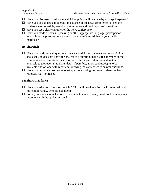- $\Box$  Have you discussed in advance which key points will be made by each spokesperson?
- $\Box$  Have you designated a moderator in advance of the news conference to keep the conference on schedule, establish ground rules and field reporters' questions?
- $\Box$  Have you set a clear end time for the news conference?
- $\Box$  Have you made a Spanish-speaking or other appropriate language spokesperson available at the press conference and have you referenced that in your media materials?

#### **Be Thorough**

- $\Box$  Have you made sure all questions are answered during the news conference? If a spokesperson does not know the answer to a question, make sure a member of the communication team finds the answer after the news conference and makes it available to the reporter at a later date. If possible, allow spokespeople to be available one-on-one with reporters following the conference to answer questions.
- $\Box$  Have you designated someone to ask questions during the news conference that reporters may not raise?

#### **Monitor Attendance**

- $\Box$  Have you asked reporters to check in? This will provide a list of who attended, and more importantly, who did not attend.
- $\Box$  For key media personnel who were not able to attend, have you offered them a phone interview with the spokespersons?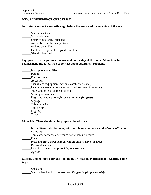#### **NEWS CONFERENCE CHECKLIST**

#### **Facilities: Conduct a walk-through before the event and the morning of the event.**

- \_\_\_\_\_\_\_\_Site satisfactory
- \_\_\_\_\_\_Space adequate
- \_\_\_\_\_\_\_Security available, if needed.
- \_\_\_\_\_\_Accessible for physically disabled
- \_\_\_\_\_\_Parking available
- \_\_\_\_\_\_Outdoors grounds in good condition
- \_\_\_\_\_\_Visuals identified

#### **Equipment: Test equipment before and on the day of the event. Allow time for replacement and know who to contact about equipment problems.**

- \_\_\_\_\_\_Microphone/amplifier
- \_\_\_\_\_\_Podium
- \_\_\_\_\_\_Platform/stage
- \_\_\_\_\_\_Acoustics
- \_\_\_\_\_\_Visual aids (equipment, screens, easel, charts, etc.)
- \_\_\_\_\_\_Heat/air (where controls are/how to adjust them if necessary)
- \_\_\_\_\_\_Video/audio recording equipment
- \_\_\_\_\_\_\_\_\_\_Seating arrangements
- \_\_\_\_\_\_Registration table –*one for press and one for guests*
- \_\_\_\_\_\_Signage
- Tables, Chairs
- \_\_\_\_\_\_Table cloths
- $Logo(s)$
- \_\_\_\_\_\_Timer

#### **Materials: These should all be prepared in advance.**

- \_\_\_\_\_\_Media Sign-in sheets- *name, address, phone numbers, email address, affiliation*
- Name tags
- \_\_\_\_\_\_Tent cards for press conference participants if needed
- Posters
- \_\_\_\_\_\_Press kits-*have them available at the sign in table for press*
- Pads and pencils
- \_\_\_\_\_\_Participant materials- *press kits, releases, etc*.
- \_\_\_\_\_\_Agenda

#### **Staffing and Set-up: Your staff should be professionally dressed and wearing name tags.**

\_\_\_\_\_\_Speakers \_\_\_\_\_\_Staff on hand and in place-*station the greeter(s) appropriately*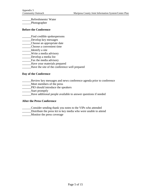\_\_\_\_\_\_Refreshments/ Water

\_\_\_\_\_\_Photographer

#### **Before the Conference**

- \_\_\_\_\_\_Find credible spokespersons
- \_\_\_\_\_\_Develop key messages
- \_\_\_\_\_\_Choose an appropriate date
- \_\_\_\_\_\_Choose a convenient time
- \_\_\_\_\_\_Identify a site
- \_\_\_\_\_\_Write a media advisory
- \_\_\_\_\_\_Develop a media list
- \_\_\_\_\_\_Fax the media advisory
- \_\_\_\_\_\_Have your materials prepared
- \_\_\_\_\_\_Have the site of the conference well prepared

#### **Day of the Conference**

- \_\_\_\_\_\_Review key messages and news conference agenda prior to conference
- \_\_\_\_\_\_Meet members of the press
- \_\_\_\_\_\_PIO should introduce the speakers
- Start promptly
- \_\_\_\_\_\_Have additional people available to answer questions if needed

#### **After the Press Conference**

- \_\_\_\_\_\_Consider sending thank you notes to the VIPs who attended
- \_\_\_\_\_\_Distribute the press kit to key media who were unable to attend
- \_\_\_\_\_\_Monitor the press coverage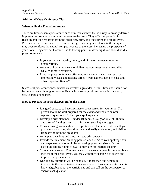#### **Additional News Conference Tips**

#### **When to Hold a Press Conference**

There are times when a press conference or media event is the best way to broadly deliver important information about your program to the press. They offer the potential for reaching multiple reporters from the broadcast, print, and trade press at a single event. Press conferences can be efficient and exciting. They heighten interest in the story and may even reinforce the natural competitiveness of the press, increasing the prospects of your story being covered. Consider the following points in deciding if you should hold a press conference:

- Is your story newsworthy, timely, and of interest to news-reporting organizations?
- Are there alternative means of delivering your message that would be equally or more effective?
- Does the press conference offer reporters special advantages, such as interesting visuals and hearing directly from experts, key officials, and other important figures?

Successful press conferences invariably involve a great deal of staff time and should not be undertaken without good reason. Even with a strong topic and story, it is not easy to secure press attendance.

#### **How to Prepare Your Spokesperson for the Event**

- It is good practice to have a primary spokesperson for your issue. That person should be well prepared for the event and ready to answer reporters' questions. To help your spokesperson:
- Develop a brief statement under 10 minutes is a good rule-of thumb and a set of "talking points" that focus on your key messages.
- Consider using visual aids such as poster-size charts or overheads. If you produce visuals, they should be clear and easily understood, and visible from any point in the press area.
- Anticipate questions and prepare clear, brief answers.
- Provide the statement, "talking points," and Q&As to your spokesperson and anyone else who might be answering questions. (Note: Do not distribute talking points or Q&As; they are for internal use only.)
- Schedule a rehearsal. You may want to have several people there to give it the feel of the actual event, you may want to videotape it to assess and improve the presentation.
- Decide how questions will be handled. If more than one person in involved in the presentation, it is a good idea to have a moderator who is knowledgeable about the participants and can call on the best person to answer each question.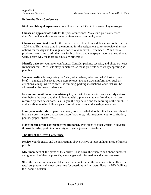#### **Before the News Conference**

**Find credible spokespersons** who will work with PIO/JIC to develop key messages.

**Choose an appropriate date** for the press conference. Make sure your conference doesn't coincide with another news conference or community event.

**Choose a convenient time** for the press. The best time to schedule a news conference is 10:00 a.m. This allows time in the morning for the assignment editor to review the story options for the day and to assign a reporter to your event. Remember, TV and radio producers need time to edit the story for broadcast, and newspaper reporters need time to write. That's why the morning hours are preferable.

**Identify a site** for your news conference. Consider parking, security, and photo op needs. Remember that TV tells its story in pictures, so make your site as visually appealing as possible.

**Write a media advisory** using the "who, what, where, when and why" basics. Keep it brief — a media advisory is not a press release. Include crucial information such as directions, a map, where to enter the building, parking instructions, and what will be addressed at the news conference.

**Fax and/or email the media advisory** to your list of journalists. Fax it as early as two days before the event and then follow up with a phone call to confirm that it has been received by each newsroom. Fax it again the day before and the morning of the event. Be vigilant about making follow-up calls to sell your story to the assignment editor.

**Have your materials prepared** and ready to be distributed to the attendees. You should include a press release, a fact sheet and/or brochures, information on your organization, photos, graphs, charts, etc…

**Have the site of the conference well prepared.** Post signs or other visuals in advance, if possible. Also, post directional signs to guide journalists to the site.

#### **The Day of the Press Conference**

**Review** your logistics and the instructions above. Arrive at least an hour ahead of time if possible.

**Meet members of the press** as they arrive. Take down their names and phone numbers and give each of them a press kit, agenda, general information and a press release.

**Start** the news conference no later than five minutes after the announced time. Have the speakers present and allow some time for questions and answers. Have the PIO facilitate the Q and A session.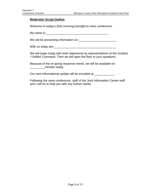#### **Moderator Script Outline**

Welcome to today's (this morning's/tonight's) news conference.

My name is:  $\sqrt{2\pi}$  music  $\frac{1}{2}$  music  $\frac{1}{2}$  music  $\frac{1}{2}$  music  $\frac{1}{2}$  music  $\frac{1}{2}$  music  $\frac{1}{2}$  music  $\frac{1}{2}$  music  $\frac{1}{2}$  music  $\frac{1}{2}$  music  $\frac{1}{2}$  music  $\frac{1}{2}$  music  $\frac{1}{2}$  music

We will be presenting information on:\_\_\_\_\_\_\_\_\_\_\_\_\_\_\_\_\_\_\_\_\_\_\_

With us today are:\_\_\_\_\_\_\_\_\_\_\_\_\_\_\_\_\_\_\_\_\_\_\_\_\_\_\_\_\_\_\_\_\_\_\_\_\_\_

We will begin today with brief statements by representatives of the Incident / Unified Command. Then we will open the floor to your questions.

Because of the on-going response needs, we will be available for \_\_\_\_\_\_\_\_\_minutes today.

Our next informational update will be provided at \_\_\_\_\_\_\_\_\_\_\_\_.

Following the news conference, staff of the Joint Information Center staff and I will try to help you with any further needs.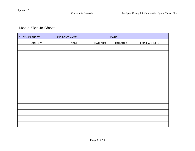## Media Sign-In Sheet

| CHECK-IN SHEET | <b>INCIDENT NAME:</b> |           | DATE:    |                      |
|----------------|-----------------------|-----------|----------|----------------------|
| AGENCY         | <b>NAME</b>           | DATE/TIME | CONTACT# | <b>EMAIL ADDRESS</b> |
|                |                       |           |          |                      |
|                |                       |           |          |                      |
|                |                       |           |          |                      |
|                |                       |           |          |                      |
|                |                       |           |          |                      |
|                |                       |           |          |                      |
|                |                       |           |          |                      |
|                |                       |           |          |                      |
|                |                       |           |          |                      |
|                |                       |           |          |                      |
|                |                       |           |          |                      |
|                |                       |           |          |                      |
|                |                       |           |          |                      |
|                |                       |           |          |                      |
|                |                       |           |          |                      |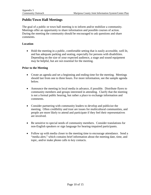### **Public/Town Hall Meetings**

The goal of a public or town hall meeting is to inform and/or mobilize a community. Meetings offer an opportunity to share information and possible courses of action. During the meeting the community should be encouraged to ask questions and share comments.

### **Location**

• Hold the meeting in a public, comfortable setting that is easily accessible, well lit, and has adequate parking and seating, especially for persons with disabilities. Depending on the size of your expected audience, a stage and sound equipment may be helpful, but are not essential for the meeting.

### **Prior to the Meeting**

- Create an agenda and set a beginning and ending time for the meeting. Meetings should last from one to three hours. For more information, see the sample agenda below.
- Announce the meeting in local media in advance, if possible. Distribute flyers to community members and groups interested in attending. Clarify that the meeting is not a formal public hearing, but rather a place to exchange information and comments.
- Consider partnering with community leaders to develop and publicize the meeting. Often credibility and trust are issues for multicultural communities, and people are more likely to attend and participate if they feel their representatives are involved.
- Be sensitive to special needs of community members. Consider translations for non-English speakers or sign language for hearing-impaired participants.
- Follow up with media closer to the meeting time to encourage attendance. Send a "media alert," which contains brief information about the meeting date, time, and topic, and/or make phone calls to key contacts.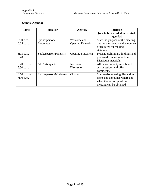### **Sample Agenda:**

| <b>Time</b>     | <b>Speaker</b>         | <b>Activity</b>          | <b>Purpose</b>                    |
|-----------------|------------------------|--------------------------|-----------------------------------|
|                 |                        |                          | [not to be included in printed    |
|                 |                        |                          | agenda]                           |
| 6:00 p.m. $-$   | Spokesperson/          | Welcome and              | State the purpose of the meeting, |
| $6:05$ p.m.     | Moderator              | <b>Opening Remarks</b>   | outline the agenda and announce   |
|                 |                        |                          | procedures for making             |
|                 |                        |                          | statements.                       |
| 6:05 p.m. $-$   | Spokesperson/Panelists | <b>Opening Statement</b> | Present preliminary findings and  |
| $6:20$ p.m.     |                        |                          | proposed courses of action.       |
|                 |                        |                          | Distribute materials.             |
| $6:20$ p.m. $-$ | All Participants       | Interactive              | Allow community members to        |
| 6:50 p.m.       |                        | Discussion               | ask questions and offer           |
|                 |                        |                          | comments.                         |
| 6:50 p.m. $-$   | Spokesperson/Moderator | Closing                  | Summarize meeting, list action    |
| $7:00$ p.m.     |                        |                          | items and announce where and      |
|                 |                        |                          | when the transcript of the        |
|                 |                        |                          | meeting can be obtained.          |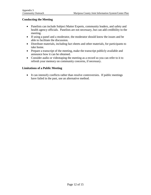### **Conducting the Meeting**

- Panelists can include Subject Matter Experts, community leaders, and safety and health agency officials. Panelists are not necessary, but can add credibility to the meeting.
- If using a panel and a moderator, the moderator should know the issues and be able to facilitate the discussion.
- Distribute materials, including fact sheets and other materials, for participants to take home.
- Prepare a transcript of the meeting, make the transcript publicly available and announce how it can be obtained.
- Consider audio or videotaping the meeting as a record so you can refer to it to refresh your memory on community concerns, if necessary.

### **Limitations of a Public Meeting**

• It can intensify conflicts rather than resolve controversies. If public meetings have failed in the past, use an alternative method.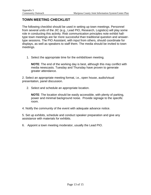## **TOWN MEETING CHECKLIST**

The following checklist should be used in setting up town meetings. Personnel from several units of the JIC (e.g., Lead PIO, Research, Logistics) will play some role in conducting this activity. Risk communication principles note exhibit halltype town meetings are far more successful than traditional question and answertype sessions. The PIO Assistant, with input from others, should coordinate for displays, as well as speakers to staff them. The media should be invited to town meetings.

1. Select the appropriate time for the exhibit/town meeting.

**NOTE**: The end of the working day is best, although this may conflict with media newscasts. Tuesday and Thursday have proven to generate greater attendance.

2. Select an appropriate meeting format, i.e., open house, audio/visual presentation, panel discussion.

2. Select and schedule an appropriate location.

**NOTE**: The location should be easily accessible, with plenty of parking, power and minimal background noise. Provide signage to the specific room.

4. Notify the community of the event with adequate advance notice.

5. Set up exhibits, schedule and conduct speaker preparation and give any assistance with materials for exhibits.

6. Appoint a town meeting moderator, usually the Lead PIO.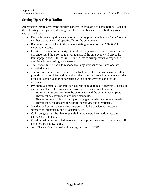### **Setting Up A Crisis Hotline**

An effective way to answer the public's concerns is through a toll-free hotline. Consider the following when you are planning for toll-free number services or building your capacity in-house.

- Decide between rapid expansion of an existing phone number or a "new" toll-free number that is generated specifically for the emergency.
- Record and refer callers to the new or existing number on the 209-966-1133 recorded message.
- Consider creating hotline scripts in multiple languages so that diverse audience can understand the information. Particularly if the emergency will affect the tourist population. If the hotline is staffed, make arrangements to respond to questions from non-English speakers.
- The service must be able to respond to a large number of calls and operate extended hours.
- The toll-free number must be answered by trained staff that can reassure callers, provide requested information, and/or refer callers as needed. You may consider hiring an outside vendor or partnering with a company who can provide assistance.
- Pre-approved materials on multiple subjects should be easily accessible during an emergency. The following are concerns about pre-developed materials:
	- Materials must be specific to the emergency and the community impact.
	- They must be easy to read and understandable.
	- They must be available in multiple languages based on community needs.
	- They must be field tested for cultural sensitivity and preferences.
- Standards of performance and evaluation should be considered: customer satisfaction, response capacity, accuracy, etc.
- Call managers must be able to quickly integrate new information into their emergency responses.
- Consider using pre-recorded messages as a helpline after the crisis or when staff members are not available.
- Add TTY services for deaf and hearing-impaired or TDD.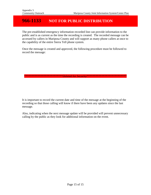## **966-1133 NOT FOR PUBLIC DISTRIBUTION**

The pre-established emergency information recorded line can provide information to the public and is as current as the time the recording is created. The recorded message can be accessed by callers in Mariposa County and will support as many phone callers at once to the capability of the entire Sierra Tell phone system.

Once the message is created and approved, the following procedure must be followed to record the message:

\*\*\*\*\*\*\*\*\*\*\*\*\*\*\*\*\*\*\*\*\*\*<mark>Deleted for Security\*\*\*\*\*\*\*\*\*\*\*\*\*\*\*\*\*\*\*\*\*\*\*\*\*</mark>

It is important to record the current date and time of the message at the beginning of the recording so that those calling will know if there have been any updates since the last message.

Also, indicating when the next message update will be provided will prevent unnecessary calling by the public as they look for additional information on the event.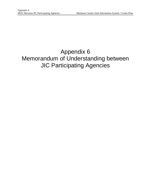# Appendix 6 Memorandum of Understanding between JIC Participating Agencies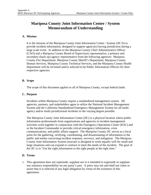## **Mariposa County Joint Information Center / System Memorandum of Understanding**

### **A. Mission**

It is the mission of the Mariposa County Joint Information Center / System (JIC/S) to provide incident information, designed to support agency(s) having jurisdiction during a large scale event. In addition to the Mariposa County Chief Administrative Officer (CAO) and a Mariposa County Board of Supervisors representative, a primary and secondary (back up) agency representative from the following agencies: Mariposa County Fire Department, Mariposa County Sheriff's Department, Mariposa County Human Services, Mariposa County Technical Services, and the Mariposa County Health Department will be recruited and/or selected to be Public Information Officers for their respective agencies.

### **B. Scope**

The scope of this document applies to all of Mariposa County, except federal lands.

### **C. Purpose**

Incidents within Mariposa County require a standardized management system. All agencies, partners, and stakeholders agree to utilize the National Incident Management System and the California Standardized Emergency Management System for all multiagency and/or multi-jurisdictional incidents to the varying degree possible.

The Mariposa County Joint Information Center (JIC) is a physical location where public information professionals from organizations and agencies in incident management activities work together in conjunction with the Emergency Operations Center (EOC) and or the Incident Commander to provide critical emergency information, crisis communications, and public affairs support. The Mariposa County JIC serves as a focal point for the gathering, verifying, coordinating, and disseminating of information to the public and media concerning incident response, recovery, and mitigation. The Mariposa County Joint Information System structure is designed to work equally well for small and large situations and can expand or contract to meet the needs of the incident. The goal of the JIC is to "Get the right information to the right people at the right time."

### **D. Terms**

1. This agreement does not supersede, supplant nor is it intended to supersede or supplant any statutory responsibility on any party's part. A party may not and shall not claim or assert that it is relieved of any legal obligation by virtue of the existence of this agreement.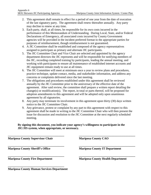- 2. This agreement shall remain in effect for a period of one year from the date of execution of the last signatory party. The agreement shall renew thereafter annually. Any party may decline to renew at any time.
- 3. Each party, shall, at all times, be responsible for its own costs incurred in the performance of this Memorandum of Understanding. During Local, State, and/or Federal Declarations of Emergency, all associated costs incurred by County Government agencies will be provided in the incident preferred format to the appropriate parties for purposes of reimbursement, though reimbursement is not guaranteed.
- 4. A JIC Committee shall be established and composed of the agency representatives assigned to participate as primary and alternate JIC participants.
- 5. The JIC Committee Chair and Vice Chair are selected and appointed by the agency department directors the JIC represents and will be responsible for notifying members of the JIC, recording completed training by participants, leading the annual meeting, and working with participants to ensure all maintenance of established internet accounts and JIC equipment remain ready to use at all times.
- 6. The JIC Committee will meet at minimum once a year to review plans and procedures, practice technique, update contact, media, and stakeholder information, and address any concerns or complaints delivered since the last meeting.
- 7. The obligations and procedures established under this agreement shall be reviewed annually by the JIC Committee prior to the anniversary of the effective date of the agreement. After said review, the committee shall prepare a written report detailing the change(s) or modification(s). The report, in total or parts thereof, will be proposed for adoption amendments to this agreement and will be adopted only upon unanimous agreement by all signatories.
- 8. Any party may terminate its involvement in this agreement upon thirty (30) days written notice to the JIC Committee Chair.
- 9. Any grievance, protest or complaint by any part to this agreement with respect to this agreement shall be made in writing to the JIC Committee Chair who will then present the issue for discussion and resolution to the JIC Committee at the next regularly scheduled meeting.

**By signing this document, you indicate your agency's willingness to participate in the JIC/JIS system, when appropriate, or necessary.**

**Mariposa County Supervisor Chair**

**\_\_\_\_\_\_\_\_\_\_\_\_\_\_\_\_\_\_\_\_\_\_\_\_\_\_\_\_\_\_\_\_\_\_\_\_\_\_**

**\_\_\_\_\_\_\_\_\_\_\_\_\_\_\_\_\_\_\_\_\_\_\_\_\_\_\_\_\_\_\_\_\_\_\_\_\_\_**

**\_\_\_\_\_\_\_\_\_\_\_\_\_\_\_\_\_\_\_\_\_\_\_\_\_\_\_\_\_\_\_\_\_\_\_\_\_\_**

**\_\_\_\_\_\_\_\_\_\_\_\_\_\_\_\_\_\_\_\_\_\_\_\_\_\_\_\_\_\_\_\_\_\_\_\_\_\_ Mariposa County Sheriff's Office**

**Mariposa County CAO**

**Mariposa County IT Department**

**Mariposa County Fire Department**

**\_\_\_\_\_\_\_\_\_\_\_\_\_\_\_\_\_\_\_\_\_\_\_\_\_\_\_\_\_\_\_\_\_\_\_\_\_\_ Mariposa County Health Department**

**\_\_\_\_\_\_\_\_\_\_\_\_\_\_\_\_\_\_\_\_\_\_\_\_\_\_\_\_\_\_\_\_\_\_\_\_\_\_**

**\_\_\_\_\_\_\_\_\_\_\_\_\_\_\_\_\_\_\_\_\_\_\_\_\_\_\_\_\_\_\_\_\_\_\_\_\_\_**

**Mariposa County Human Services Department**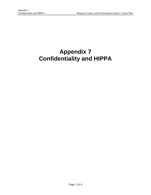# **Appendix 7 Confidentiality and HIPPA**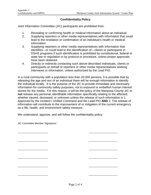### **Confidentiality Policy**

Joint Information Committee (JIC) participants are prohibited from:

- 1. Revealing or confirming health or medical information about an individual.
- 2. Supplying reporters or other media representatives with information that could lead to the revelation or confirmation of an individual's health or medical information.
- 3. Supplying reporters or other media representatives with information that identifies—or could lead to the identification of—clients or participants in DSHS programs if such identification is prohibited by constitutional, federal or state law or regulation or by protocol or procedure, unless proper approvals have been obtained.
- 4. Directly or indirectly contacting such above-described individuals, clients or participants on behalf of reporters or other media representatives seeking interviews or information, unless authorized by the Lead PIO.

In a rural community with a population less than 20,000 persons, it is possible that by releasing the age and sex of an individual there will be enough information to identify the individual locally. It is the purpose of the JIC to provide immediate and necessary information for community safety purposes, not to expound or embellish human interest stories for the media. For this reason, it will be the policy of the Mariposa County JIC to **not** release any personal, identifiable information specifically relating to the affected, whether injured, deceased, or unknown unless the release of such information is 1. Approved by the Incident / Unified Command and the Lead PIO **AND** 2. The release of information will contribute to the improvement of or mitigation of the current emergency as a life, health, and environment safety measure.

We understand, approve, and will follow the confidentiality policy:

\_\_\_\_\_\_\_\_\_\_\_\_\_\_\_\_\_\_\_\_\_\_ \_\_\_\_\_\_\_\_\_\_\_\_\_\_\_\_\_\_\_\_\_

\_\_\_\_\_\_\_\_\_\_\_\_\_\_\_\_\_\_\_\_\_\_ \_\_\_\_\_\_\_\_\_\_\_\_\_\_\_\_\_\_\_\_\_

\_\_\_\_\_\_\_\_\_\_\_\_\_\_\_\_\_\_\_\_\_\_ \_\_\_\_\_\_\_\_\_\_\_\_\_\_\_\_\_\_\_\_\_

\_\_\_\_\_\_\_\_\_\_\_\_\_\_\_\_\_\_\_\_\_\_ \_\_\_\_\_\_\_\_\_\_\_\_\_\_\_\_\_\_\_\_\_

\_\_\_\_\_\_\_\_\_\_\_\_\_\_\_\_\_\_\_\_\_\_ \_\_\_\_\_\_\_\_\_\_\_\_\_\_\_\_\_\_\_\_\_

\_\_\_\_\_\_\_\_\_\_\_\_\_\_\_\_\_\_\_\_\_\_ \_\_\_\_\_\_\_\_\_\_\_\_\_\_\_\_\_\_\_\_\_

JIC Committee Member Signatures: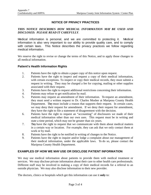### **NOTICE OF PRIVACY PRACTICES**

### *THIS NOTICE DESCRIBES HOW MEDICAL INFORMATION MAY BE USED AND DISCLOSED. PLEASE READ IT CAREFULLY*.

Medical information is personal, and we are committed to protecting it. Medical information is also very important to our ability to provide quality care, and to comply with certain laws. This Notice describes the privacy practices we follow regarding medical information.

We reserve the right to revise or change the terms of this Notice, and to apply those changes to all medical information.

### **Patient's Health Information Rights**

- 1. Patients have the right to obtain a paper copy of this notice upon request.
- 2. Patients have the right to inspect and request a copy of their medical information, with certain exceptions. To inspect or copy their medical records, they must submit a request in writing. They may be charged a fee for copying, mailing or other supplies associated with their request.
- 3. Patients have the right to request additional restrictions concerning their information.
- 4. Patients may refuse to get notification by mail.
- 5. Patients may request an amendment of their information. To request an amendment, they must send a written request to Dr. Charles Mosher at Mariposa County Health Department. They must include a reason that supports their request. In certain cases, we may deny their request for amendment. If we deny their request for amendment, they have the right to file a statement of disagreement with the decision.
- 6. Patients have the right to request an "accounting" of disclosures we made of their medical information other than our own uses. This request must be in writing and state a time period, which may not be greater than six years.
- 7. They have the right to request that we communicate with them about medical matters in a certain way or location. For example, they can ask that we only contact them at work or by mail.
- 8. Patients have the right to be notified in writing of changes to the Notice.
- 9. Patients have the right to inquire and/or lodge a complaint about our management of their medical information, under the applicable laws. To do so, please contact the Mariposa County Health Department.

### **EXAMPLES OF HOW WE MAY USE OR DISCLOSE PATIENT INFORMATION**

We may use medical information about patients to provide them with medical treatment or services. We may disclose private information about their care to other health care professionals. Different staff may be involved in making a copy of their medical records for a referral to an outside physician. We may also disclose information to their new provider.

The doctors, clinics or hospitals which get this information can use it **only** to: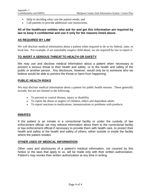- Help in deciding what care the patient needs; and
- Call patients to provide additional care instructions.

### **All of the healthcare entities who ask for and get this information are required by law to keep it confidential and use it only for the reasons listed above.**

### **AS REQUIRED BY LAW**

We will disclose medical information about a patient when required to do so by federal, state, or local law. For example, if we reasonably suspect child abuse, we are required by law to report it.

### **TO AVERT A SERIOUS THREAT TO HEALTH OR SAFETY**

We may use and disclose medical information about a patient when necessary to prevent a serious threat to their health and safety, or to the health and safety of the public or another person. Any disclosure, however, would only be to someone who we believe would be able to prevent the threat or harm from happening.

### **PUBLIC HEALTH RISKS**

We may disclose medical information about a patient for public health reasons. These generally include, but are not limited to the following:

- To prevent or control disease, injury or disability
- To report the abuse or neglect of children, elders and dependent adults
- To report reactions to medications, immunizations or problems with products

### **INMATES**

If the patient is an inmate in a correctional facility or under the custody of law enforcement official, we may release information about them to the correctional facility or law enforcement official if necessary to provide them with health care, to protect their health and safety or the health and safety of others, either outside or inside the facility where the patient resides.

### **OTHER USES OF MEDICAL INFORMATION**

Other uses and disclosures of a patient's medical information, not covered by this Notice or the laws that apply to us, will be made only with their written authorization. Patient's may revoke their written authorization at any time in writing.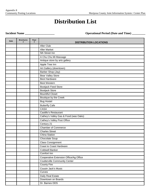## **Distribution List**

**Incident Name \_\_\_\_\_\_\_\_\_\_\_\_\_\_\_\_\_\_\_\_ Operational Period (Date and Time) \_\_\_\_\_\_\_\_\_**

|             | <b>Brochures</b> | <b>Flyer</b> |                                        |
|-------------|------------------|--------------|----------------------------------------|
| <b>Date</b> | #                | #            | <b>DISTRIBUTION LOCATIONS</b>          |
|             |                  |              | 49er Club                              |
|             |                  |              | 49er Market                            |
|             |                  |              | 5th Street Inn                         |
|             |                  |              | A Chu Chu Mi Massage                   |
|             |                  |              | Antique store by arts gallery          |
|             |                  |              | Apple Tree Inn                         |
|             |                  |              | Art Gallery (downtown)                 |
|             |                  |              | Barber Shop (Jay)                      |
|             |                  |              | <b>Bear Valley Store</b>               |
|             |                  |              | <b>Best Hardware</b>                   |
|             |                  |              | <b>Best Western</b>                    |
|             |                  |              | <b>Bootjack Feed Store</b>             |
|             |                  |              | <b>Bootjack Store</b>                  |
|             |                  |              | <b>Bountiful Closet</b>                |
|             |                  |              | Boutique by the Creek                  |
|             |                  |              | <b>Bug Hostel</b>                      |
|             |                  |              | <b>Butterfly Cafe</b>                  |
|             |                  |              | <b>CASA</b>                            |
|             |                  |              | Castillo's Restaurant                  |
|             |                  |              | Cathey's Valley Gas & Food (was Oaks)  |
|             |                  |              | Cathey's Valley Post Office            |
|             |                  |              | Century 21                             |
|             |                  |              | <b>Chamber of Commerce</b>             |
|             |                  |              | <b>Charles Street</b>                  |
|             |                  |              | <b>China Station</b>                   |
|             |                  |              | Chocolate Soup                         |
|             |                  |              | <b>Class Consignment</b>               |
|             |                  |              | Coast to Coast Hardware                |
|             |                  |              | <b>Coldwell Banker</b>                 |
|             |                  |              | Comfort Inn                            |
|             |                  |              | Cooperative Extension Office/Ag Office |
|             |                  |              | <b>Coulterville Community Center</b>   |
|             |                  |              | <b>County Fire</b>                     |
|             |                  |              | Cousin Jack's Music                    |
|             |                  |              | Curves                                 |
|             |                  |              | Daily Real Estate                      |
|             |                  |              | Downtown on Boards                     |
|             |                  |              | Dr. Barnes DDS                         |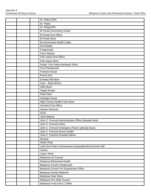|  | Dr. Debry DDS                                        |
|--|------------------------------------------------------|
|  | Dr. Platto                                           |
|  | Dr. Wieg DDS                                         |
|  | El Portal Community Center                           |
|  | El Portal Post Office                                |
|  | <b>El Portal Store</b>                               |
|  | Environmental Health Lobby                           |
|  | <b>Exit Reality</b>                                  |
|  | Fairgrounds                                          |
|  | Farm Advisor                                         |
|  | Fish Camp Post Office                                |
|  | Fish Camp Store                                      |
|  | Foster True Value Hardware Store                     |
|  | Fox's Restaurant                                     |
|  | <b>Fremont House</b>                                 |
|  | Fruit & Nut                                          |
|  | <b>Greeley Hill Store</b>                            |
|  | Gym - Body Works                                     |
|  | <b>H&amp;R Block</b>                                 |
|  | Happy Burger                                         |
|  | <b>Head Start</b>                                    |
|  | Heritage House                                       |
|  | <b>High County Health Food Store</b>                 |
|  | <b>Hornitos Post Office</b>                          |
|  | <b>Human Services</b>                                |
|  | <b>ICES</b>                                          |
|  | Jantz Bakery                                         |
|  | John C. Fremont Administrative Office (already have) |
|  | John C. Fremont Clinic                               |
|  | John C. Fremont Emergency Room (already have)        |
|  | John C. Fremont Home Health                          |
|  | John C. Fremont Hospital Admin.                      |
|  | Kiwanis                                              |
|  | Skate Shop                                           |
|  | Lake Don Pedro Homeowners Association/Community Hall |
|  | Library                                              |
|  | <b>Liquor Store</b>                                  |
|  | Mariposa Art Council                                 |
|  | Mariposa Behavioral Health                           |
|  | Mariposa County Fairgrounds                          |
|  | Mariposa County Fire Department Office               |
|  | Mariposa Family Medicine                             |
|  | Mariposa Feed Store                                  |
|  | Mariposa Fire Safe Council                           |
|  | Mariposa Fruit & Nut / Coffee                        |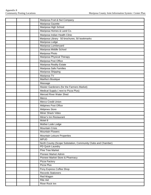|  | Mariposa Fruit & Nut Company                                 |
|--|--------------------------------------------------------------|
|  | Mariposa Gazette                                             |
|  | Mariposa High School                                         |
|  | Mariposa Homes & Land Co.                                    |
|  | Mariposa Indian Health Clinic                                |
|  | Mariposa Library 50 brochures, 50 bookmarks                  |
|  | Mariposa Lodge                                               |
|  | Mariposa Lumberyard                                          |
|  | Mariposa Middle School                                       |
|  | Mariposa Photo                                               |
|  | Mariposa Physical Therapy                                    |
|  | Mariposa Post Office                                         |
|  | Mariposa Reality Estate                                      |
|  | Mariposa Safe Families                                       |
|  | Mariposa Shipping                                            |
|  | Mariposa TV                                                  |
|  | Martha's Boutique                                            |
|  | Massage                                                      |
|  | Master Gardeners (for the Farmers Market)                    |
|  | Medical Supply (next to Pizza Plus)                          |
|  | Merced River Water Shed                                      |
|  | Merco                                                        |
|  | Merco Credit Union                                           |
|  | Midpines Post Office                                         |
|  | <b>Midpines Store</b>                                        |
|  | Miner Shack Video                                            |
|  | Miner's Inn Restaurant                                       |
|  | Motel 8                                                      |
|  | Mother Lode Lodge                                            |
|  | <b>Mountain Crisis</b>                                       |
|  | <b>Mountain Flowers</b>                                      |
|  | <b>Mountain Leisure Properties</b>                           |
|  | <b>MPUD</b>                                                  |
|  | North County (Scope Substation, Community Clubs and Chamber) |
|  | PD Quick Laundry                                             |
|  | <b>Pine Tree Market</b>                                      |
|  | <b>Pioneer Market Admin</b>                                  |
|  | Pioneer Market Store & Pharmacy                              |
|  | Pizza Factory                                                |
|  | Pizza Plus                                                   |
|  | Pony Express Coffee Shop                                     |
|  | <b>Records Stationers</b>                                    |
|  | Red Wagon                                                    |
|  | Rite Aid                                                     |
|  | River Rock Inn                                               |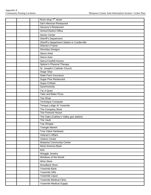|  | Rock shop 7 <sup>th</sup> street             |
|--|----------------------------------------------|
|  | Sal's Mexican Restaurant                     |
|  | Savoury's Restaurant                         |
|  | <b>School District Office</b>                |
|  | Senior Center                                |
|  | Sheriff's Department                         |
|  | Sheriff's Department Station in Coulterville |
|  | Sherrie's Frame                              |
|  | <b>Shockley Designs</b>                      |
|  | Sierra Artist                                |
|  | Sierra Auto                                  |
|  | Sierra Foothill Homes                        |
|  | Spitzer's Physical Therapy                   |
|  | St. Joseph's Catholic Church                 |
|  | Stage Stop                                   |
|  | State Farm Insurance                         |
|  | <b>Sugar Pine Restaurant</b>                 |
|  | Super 8 Motel                                |
|  | Synchronicity                                |
|  | Tai Ji Quan                                  |
|  | <b>Take and Bake Pizza</b>                   |
|  | Tea Shop                                     |
|  | Technique Computer                           |
|  | Tenaya Lodge At Yosemite                     |
|  | The Company Store                            |
|  | The Fremont House                            |
|  | The Oaks (Cathey's Valley gas station)       |
|  | <b>The Vault</b>                             |
|  | <b>Top Shoppe</b>                            |
|  | <b>Triangle Market</b>                       |
|  | True Value Hardware                          |
|  | Veteran's Affairs                            |
|  | <b>Visitors Center</b>                       |
|  | <b>Wawona Community Center</b>               |
|  | West America Bank                            |
|  | <b>WIC</b>                                   |
|  | Wieggle Jewelry                              |
|  | Windows of the World                         |
|  | Wine Store                                   |
|  | <b>Woodland Store</b>                        |
|  | Yosemite Bank                                |
|  | <b>Yosemite Gifts</b>                        |
|  | Yosemite Liquor                              |
|  | Yosemite Medical Clinic                      |
|  | <b>Yosemite Medical Supply</b>               |